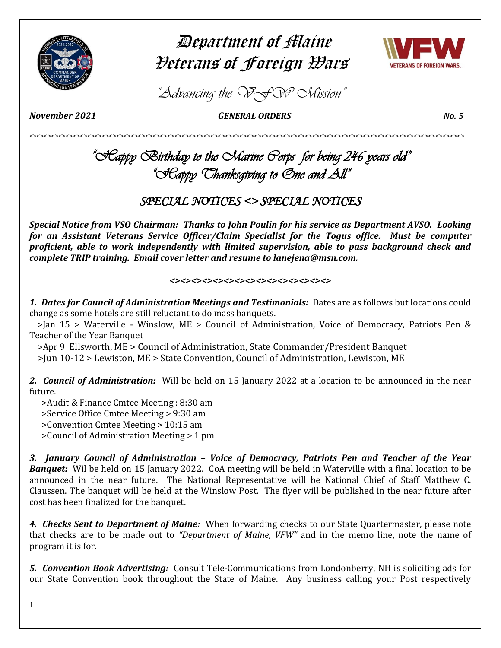

# Department of Maine Veterans of Foreign Wars



*"Advancing the VFW Mission"*

*November 2021 GENERAL ORDERS No. 5* 

<><><><><><><><><><><><><><><><><><><><><><><><><><><><><><><><><><><><><><><><><><><><><><><><><><><><><><><><><><><><>

# *"Happy Birthday to the Marine Corps for being 246 years old" "Happy Thanksgiving to One and All"*

# *SPECIAL NOTICES <> SPECIAL NOTICES*

*Special Notice from VSO Chairman: Thanks to John Poulin for his service as Department AVSO. Looking for an Assistant Veterans Service Officer/Claim Specialist for the Togus office. Must be computer proficient, able to work independently with limited supervision, able to pass background check and complete TRIP training. Email cover letter and resume to lanejena@msn.com.* 

# *<><><><><><><><><><><><><><><>*

*1. Dates for Council of Administration Meetings and Testimonials:* Dates are as follows but locations could change as some hotels are still reluctant to do mass banquets.

 >Jan 15 > Waterville - Winslow, ME > Council of Administration, Voice of Democracy, Patriots Pen & Teacher of the Year Banquet

 >Apr 9 Ellsworth, ME > Council of Administration, State Commander/President Banquet >Jun 10-12 > Lewiston, ME > State Convention, Council of Administration, Lewiston, ME

*2. Council of Administration:* Will be held on 15 January 2022 at a location to be announced in the near future.

 >Audit & Finance Cmtee Meeting : 8:30 am >Service Office Cmtee Meeting > 9:30 am >Convention Cmtee Meeting > 10:15 am >Council of Administration Meeting > 1 pm

*3. January Council of Administration – Voice of Democracy, Patriots Pen and Teacher of the Year Banquet:* Wil be held on 15 January 2022. CoA meeting will be held in Waterville with a final location to be announced in the near future. The National Representative will be National Chief of Staff Matthew C. Claussen. The banquet will be held at the Winslow Post. The flyer will be published in the near future after cost has been finalized for the banquet.

*4. Checks Sent to Department of Maine:* When forwarding checks to our State Quartermaster, please note that checks are to be made out to *"Department of Maine, VFW"* and in the memo line, note the name of program it is for.

*5. Convention Book Advertising:* Consult Tele-Communications from Londonberry, NH is soliciting ads for our State Convention book throughout the State of Maine. Any business calling your Post respectively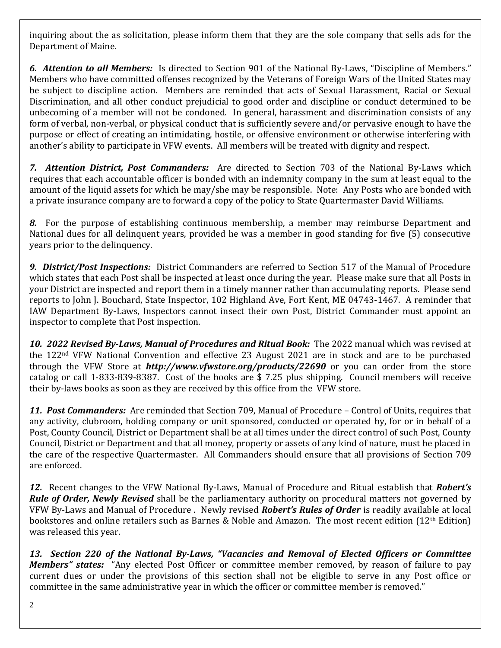inquiring about the as solicitation, please inform them that they are the sole company that sells ads for the Department of Maine.

*6. Attention to all Members:* Is directed to Section 901 of the National By-Laws, "Discipline of Members." Members who have committed offenses recognized by the Veterans of Foreign Wars of the United States may be subject to discipline action. Members are reminded that acts of Sexual Harassment, Racial or Sexual Discrimination, and all other conduct prejudicial to good order and discipline or conduct determined to be unbecoming of a member will not be condoned. In general, harassment and discrimination consists of any form of verbal, non-verbal, or physical conduct that is sufficiently severe and/or pervasive enough to have the purpose or effect of creating an intimidating, hostile, or offensive environment or otherwise interfering with another's ability to participate in VFW events. All members will be treated with dignity and respect.

*7. Attention District, Post Commanders:* Are directed to Section 703 of the National By-Laws which requires that each accountable officer is bonded with an indemnity company in the sum at least equal to the amount of the liquid assets for which he may/she may be responsible. Note: Any Posts who are bonded with a private insurance company are to forward a copy of the policy to State Quartermaster David Williams.

*8.* For the purpose of establishing continuous membership, a member may reimburse Department and National dues for all delinquent years, provided he was a member in good standing for five (5) consecutive years prior to the delinquency.

*9. District/Post Inspections:* District Commanders are referred to Section 517 of the Manual of Procedure which states that each Post shall be inspected at least once during the year. Please make sure that all Posts in your District are inspected and report them in a timely manner rather than accumulating reports. Please send reports to John J. Bouchard, State Inspector, 102 Highland Ave, Fort Kent, ME 04743-1467. A reminder that IAW Department By-Laws, Inspectors cannot insect their own Post, District Commander must appoint an inspector to complete that Post inspection.

*10. 2022 Revised By-Laws, Manual of Procedures and Ritual Book:* The 2022 manual which was revised at the 122nd VFW National Convention and effective 23 August 2021 are in stock and are to be purchased through the VFW Store at *<http://www.vfwstore.org/products/22690>* or you can order from the store catalog or call 1-833-839-8387. Cost of the books are \$ 7.25 plus shipping. Council members will receive their by-laws books as soon as they are received by this office from the VFW store.

*11. Post Commanders:* Are reminded that Section 709, Manual of Procedure – Control of Units, requires that any activity, clubroom, holding company or unit sponsored, conducted or operated by, for or in behalf of a Post, County Council, District or Department shall be at all times under the direct control of such Post, County Council, District or Department and that all money, property or assets of any kind of nature, must be placed in the care of the respective Quartermaster. All Commanders should ensure that all provisions of Section 709 are enforced.

*12.* Recent changes to the VFW National By-Laws, Manual of Procedure and Ritual establish that *Robert's Rule of Order, Newly Revised* shall be the parliamentary authority on procedural matters not governed by VFW By-Laws and Manual of Procedure . Newly revised *Robert's Rules of Order* is readily available at local bookstores and online retailers such as Barnes & Noble and Amazon. The most recent edition  $(12<sup>th</sup> Edition)$ was released this year.

*13. Section 220 of the National By-Laws, "Vacancies and Removal of Elected Officers or Committee Members" states:* "Any elected Post Officer or committee member removed, by reason of failure to pay current dues or under the provisions of this section shall not be eligible to serve in any Post office or committee in the same administrative year in which the officer or committee member is removed."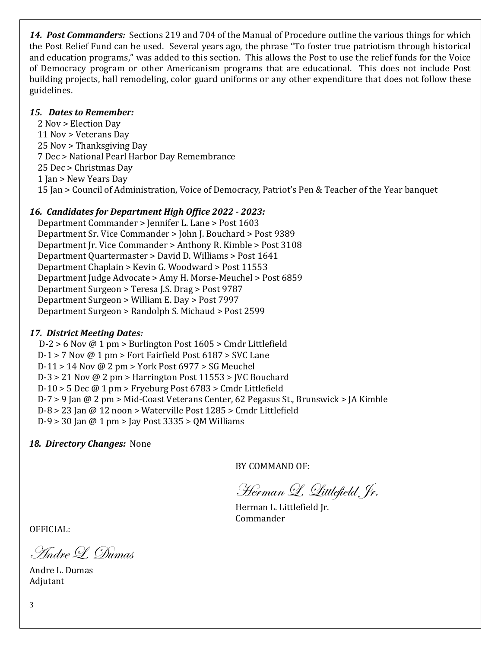*14. Post Commanders:* Sections 219 and 704 of the Manual of Procedure outline the various things for which the Post Relief Fund can be used. Several years ago, the phrase "To foster true patriotism through historical and education programs," was added to this section. This allows the Post to use the relief funds for the Voice of Democracy program or other Americanism programs that are educational. This does not include Post building projects, hall remodeling, color guard uniforms or any other expenditure that does not follow these guidelines.

# *15. Dates to Remember:*

 2 Nov > Election Day 11 Nov > Veterans Day 25 Nov > Thanksgiving Day 7 Dec > National Pearl Harbor Day Remembrance 25 Dec > Christmas Day 1 Jan > New Years Day 15 Jan > Council of Administration, Voice of Democracy, Patriot's Pen & Teacher of the Year banquet

# *16. Candidates for Department High Office 2022 - 2023:*

 Department Commander > Jennifer L. Lane > Post 1603 Department Sr. Vice Commander > John J. Bouchard > Post 9389 Department Jr. Vice Commander > Anthony R. Kimble > Post 3108 Department Quartermaster > David D. Williams > Post 1641 Department Chaplain > Kevin G. Woodward > Post 11553 Department Judge Advocate > Amy H. Morse-Meuchel > Post 6859 Department Surgeon > Teresa J.S. Drag > Post 9787 Department Surgeon > William E. Day > Post 7997 Department Surgeon > Randolph S. Michaud > Post 2599

# *17. District Meeting Dates:*

 D-2 > 6 Nov @ 1 pm > Burlington Post 1605 > Cmdr Littlefield D-1 > 7 Nov @ 1 pm > Fort Fairfield Post 6187 > SVC Lane D-11 > 14 Nov @ 2 pm > York Post 6977 > SG Meuchel D-3 > 21 Nov @ 2 pm > Harrington Post 11553 > JVC Bouchard D-10 > 5 Dec @ 1 pm > Fryeburg Post 6783 > Cmdr Littlefield D-7 > 9 Jan @ 2 pm > Mid-Coast Veterans Center, 62 Pegasus St., Brunswick > JA Kimble D-8 > 23 Jan @ 12 noon > Waterville Post 1285 > Cmdr Littlefield D-9 > 30 Jan  $\omega$  1 pm > Jay Post 3335 > QM Williams

*18. Directory Changes:* None

BY COMMAND OF:

Herman L. Littlefield Jr.

Herman L. Littlefield Jr. Commander

OFFICIAL:

Andre L. Dumas

Andre L. Dumas Adjutant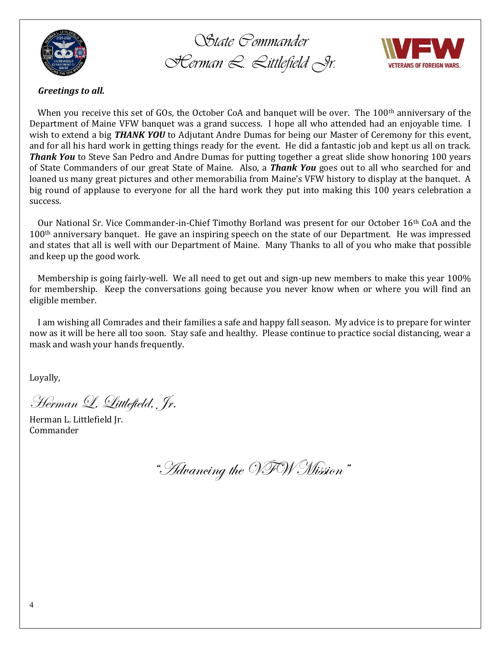

*State Commander Herman L. Littlefield Jr.*



# *Greetings to all.*

When you receive this set of GOs, the October CoA and banquet will be over. The 100<sup>th</sup> anniversary of the Department of Maine VFW banquet was a grand success. I hope all who attended had an enjoyable time. I wish to extend a big *THANK YOU* to Adjutant Andre Dumas for being our Master of Ceremony for this event, and for all his hard work in getting things ready for the event. He did a fantastic job and kept us all on track. *Thank You* to Steve San Pedro and Andre Dumas for putting together a great slide show honoring 100 years of State Commanders of our great State of Maine. Also, a *Thank You* goes out to all who searched for and loaned us many great pictures and other memorabilia from Maine's VFW history to display at the banquet. A big round of applause to everyone for all the hard work they put into making this 100 years celebration a success.

 Our National Sr. Vice Commander-in-Chief Timothy Borland was present for our October 16th CoA and the 100<sup>th</sup> anniversary banquet. He gave an inspiring speech on the state of our Department. He was impressed and states that all is well with our Department of Maine. Many Thanks to all of you who make that possible and keep up the good work.

 Membership is going fairly-well. We all need to get out and sign-up new members to make this year 100% for membership. Keep the conversations going because you never know when or where you will find an eligible member.

 I am wishing all Comrades and their families a safe and happy fall season. My advice is to prepare for winter now as it will be here all too soon. Stay safe and healthy. Please continue to practice social distancing, wear a mask and wash your hands frequently.

Loyally,

Herman L. Littlefield, Jr.

Herman L. Littlefield Jr. Commander

"Advancing the VFW Mission"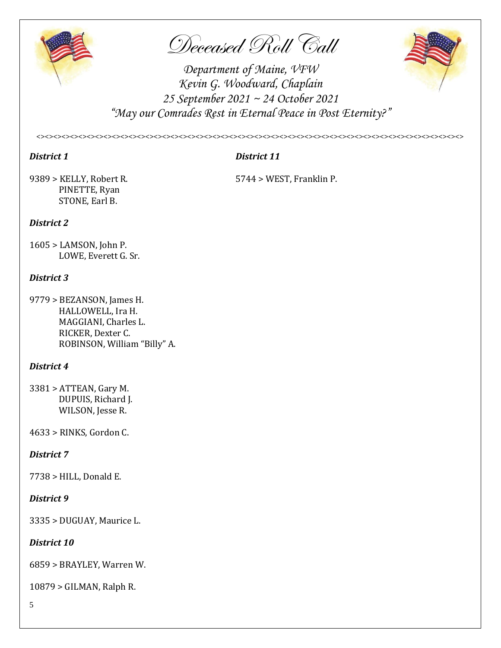

Deceased Roll Call



*Department of Maine, VFW Kevin G. Woodward, Chaplain 25 September 2021 ~ 24 October 2021 "May our Comrades Rest in Eternal Peace in Post Eternity?"*

*<><><><><><><><><><><><><><><><><><><><><><><><><><><><><><><><><><><><><><><><><><><><><><><><><><><>*

# *District 1 District 11*

9389 > KELLY, Robert R. 5744 > WEST, Franklin P. PINETTE, Ryan STONE, Earl B.

# *District 2*

1605 > LAMSON, John P. LOWE, Everett G. Sr.

# *District 3*

9779 > BEZANSON, James H. HALLOWELL, Ira H. MAGGIANI, Charles L. RICKER, Dexter C. ROBINSON, William "Billy" A.

# *District 4*

3381 > ATTEAN, Gary M. DUPUIS, Richard J. WILSON, Jesse R.

4633 > RINKS, Gordon C.

# *District 7*

7738 > HILL, Donald E.

# *District 9*

3335 > DUGUAY, Maurice L.

# *District 10*

6859 > BRAYLEY, Warren W.

10879 > GILMAN, Ralph R.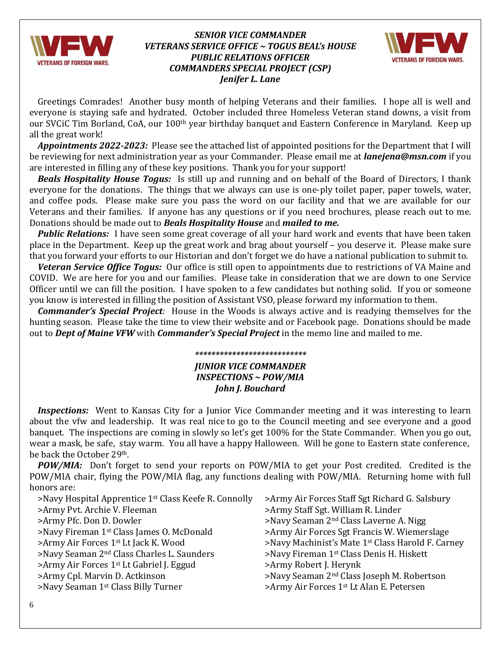

# *SENIOR VICE COMMANDER VETERANS SERVICE OFFICE ~ TOGUS BEAL's HOUSE PUBLIC RELATIONS OFFICER COMMANDERS SPECIAL PROJECT (CSP) Jenifer L. Lane*



 Greetings Comrades! Another busy month of helping Veterans and their families. I hope all is well and everyone is staying safe and hydrated. October included three Homeless Veteran stand downs, a visit from our SVCiC Tim Borland, CoA, our 100<sup>th</sup> year birthday banquet and Eastern Conference in Maryland. Keep up all the great work!

*Appointments 2022-2023:* Please see the attached list of appointed positions for the Department that I will be reviewing for next administration year as your Commander. Please email me at *[lanejena@msn.com](mailto:lanejena@msn.com)* if you are interested in filling any of these key positions. Thank you for your support!

 *Beals Hospitality House Togus:*Is still up and running and on behalf of the Board of Directors, I thank everyone for the donations. The things that we always can use is one-ply toilet paper, paper towels, water, and coffee pods. Please make sure you pass the word on our facility and that we are available for our Veterans and their families. If anyone has any questions or if you need brochures, please reach out to me. Donations should be made out to *Beals Hospitality House* and *mailed to me.*

*Public Relations:* I have seen some great coverage of all your hard work and events that have been taken place in the Department. Keep up the great work and brag about yourself – you deserve it. Please make sure that you forward your efforts to our Historian and don't forget we do have a national publication to submit to.

*Veteran Service Office Togus:*Our office is still open to appointments due to restrictions of VA Maine and COVID. We are here for you and our families. Please take in consideration that we are down to one Service Officer until we can fill the position. I have spoken to a few candidates but nothing solid. If you or someone you know is interested in filling the position of Assistant VSO, please forward my information to them.

 *Commander's Special Project:* House in the Woods is always active and is readying themselves for the hunting season. Please take the time to view their website and or Facebook page. Donations should be made out to *Dept of Maine VFW* with *Commander's Special Project* in the memo line and mailed to me.

# *\*\*\*\*\*\*\*\*\*\*\*\*\*\*\*\*\*\*\*\*\*\*\*\*\*\*\* JUNIOR VICE COMMANDER INSPECTIONS ~ POW/MIA John J. Bouchard*

*Inspections:* Went to Kansas City for a Junior Vice Commander meeting and it was interesting to learn about the vfw and leadership. It was real nice to go to the Council meeting and see everyone and a good banquet. The inspections are coming in slowly so let's get 100% for the State Commander. When you go out, wear a mask, be safe, stay warm. You all have a happy Halloween. Will be gone to Eastern state conference, be back the October 29th.

 *POW/MIA:* Don't forget to send your reports on POW/MIA to get your Post credited. Credited is the POW/MIA chair, flying the POW/MIA flag, any functions dealing with POW/MIA. Returning home with full honors are:

| >Navy Hospital Apprentice 1 <sup>st</sup> Class Keefe R. Connolly | >Army Air Forces Staff Sgt Richard G. Salsbury                |
|-------------------------------------------------------------------|---------------------------------------------------------------|
| >Army Pvt. Archie V. Fleeman                                      | >Army Staff Sgt. William R. Linder                            |
| >Army Pfc. Don D. Dowler                                          | >Navy Seaman 2 <sup>nd</sup> Class Laverne A. Nigg            |
| >Navy Fireman 1 <sup>st</sup> Class James O. McDonald             | >Army Air Forces Sgt Francis W. Wiemerslage                   |
| >Army Air Forces 1st Lt Jack K. Wood                              | >Navy Machinist's Mate 1 <sup>st</sup> Class Harold F. Carney |
| >Navy Seaman 2 <sup>nd</sup> Class Charles L. Saunders            | >Navy Fireman 1 <sup>st</sup> Class Denis H. Hiskett          |
| >Army Air Forces 1 <sup>st</sup> Lt Gabriel J. Eggud              | >Army Robert J. Herynk                                        |
| >Army Cpl. Marvin D. Actkinson                                    | >Navy Seaman 2 <sup>nd</sup> Class Joseph M. Robertson        |
| >Navy Seaman 1 <sup>st</sup> Class Billy Turner                   | >Army Air Forces 1 <sup>st</sup> Lt Alan E. Petersen          |
|                                                                   |                                                               |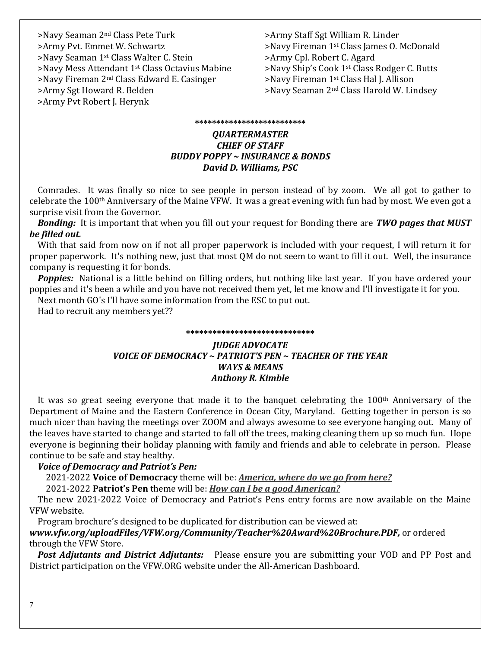>Navy Seaman 2nd Class Pete Turk >Army Staff Sgt William R. Linder >Army Pyt. Emmet W. Schwartz > >Navy Fireman 1st Class James O. McDonald >Navy Seaman 1<sup>st</sup> Class Walter C. Stein >Army Cpl. Robert C. Agard >Navy Mess Attendant 1st Class Octavius Mabine >Navy Ship's Cook 1st Class Rodger C. Butts >Navy Fireman 2<sup>nd</sup> Class Edward E. Casinger >Navy Fireman 1<sup>st</sup> Class Hal J. Allison >Army Sgt Howard R. Belden >Navy Seaman 2<sup>nd</sup> Class Harold W. Lindsey >Army Pvt Robert J. Herynk

**\*\*\*\*\*\*\*\*\*\*\*\*\*\*\*\*\*\*\*\*\*\*\*\*\*\***

# *QUARTERMASTER CHIEF OF STAFF BUDDY POPPY ~ INSURANCE & BONDS David D. Williams, PSC*

 Comrades. It was finally so nice to see people in person instead of by zoom. We all got to gather to celebrate the 100<sup>th</sup> Anniversary of the Maine VFW. It was a great evening with fun had by most. We even got a surprise visit from the Governor.

 *Bonding:* It is important that when you fill out your request for Bonding there are *TWO pages that MUST be filled out.*

 With that said from now on if not all proper paperwork is included with your request, I will return it for proper paperwork. It's nothing new, just that most QM do not seem to want to fill it out. Well, the insurance company is requesting it for bonds.

 *Poppies:* National is a little behind on filling orders, but nothing like last year. If you have ordered your poppies and it's been a while and you have not received them yet, let me know and I'll investigate it for you.

Next month GO's I'll have some information from the ESC to put out.

Had to recruit any members yet??

#### **\*\*\*\*\*\*\*\*\*\*\*\*\*\*\*\*\*\*\*\*\*\*\*\*\*\*\*\*\***

# *JUDGE ADVOCATE VOICE OF DEMOCRACY ~ PATRIOT'S PEN ~ TEACHER OF THE YEAR WAYS & MEANS Anthony R. Kimble*

It was so great seeing everyone that made it to the banquet celebrating the 100<sup>th</sup> Anniversary of the Department of Maine and the Eastern Conference in Ocean City, Maryland. Getting together in person is so much nicer than having the meetings over ZOOM and always awesome to see everyone hanging out. Many of the leaves have started to change and started to fall off the trees, making cleaning them up so much fun. Hope everyone is beginning their holiday planning with family and friends and able to celebrate in person. Please continue to be safe and stay healthy.

# *Voice of Democracy and Patriot's Pen:*

2021-2022 **Voice of Democracy** theme will be: *America, where do we go from here?* 

2021-2022 **Patriot's Pen** theme will be: *How can I be a good American?*

 The new 2021-2022 Voice of Democracy and Patriot's Pens entry forms are now available on the Maine VFW website.

Program brochure's designed to be duplicated for distribution can be viewed at:

# *[www.vfw.org/uploadFiles/VFW.org/Community/Teacher%20Award%20Brochure.PDF,](http://www.vfw.org/uploadFiles/VFW.org/Community/Teacher%20Award%20Brochure.PDF)* or ordered through the VFW Store.

 *Post Adjutants and District Adjutants:* Please ensure you are submitting your VOD and PP Post and District participation on the VFW.ORG website under the All-American Dashboard.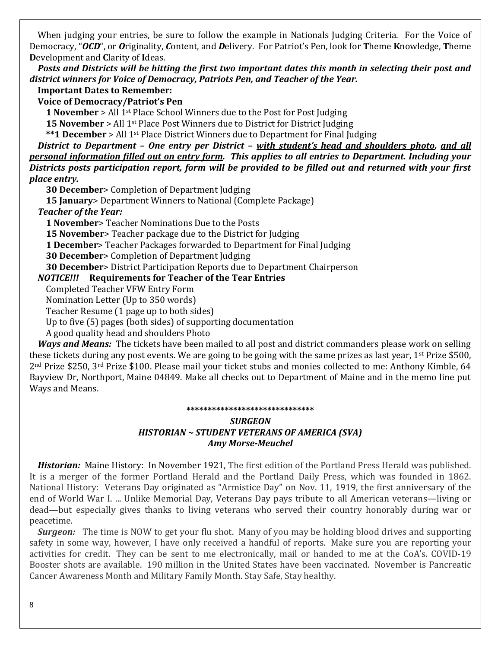When judging your entries, be sure to follow the example in Nationals Judging Criteria. For the Voice of Democracy, "*OCD*", or *O*riginality, *C*ontent, and *D*elivery. For Patriot's Pen, look for **T**heme **K**nowledge, **T**heme **D**evelopment and **C**larity of **I**deas.

 *Posts and Districts will be hitting the first two important dates this month in selecting their post and district winners for Voice of Democracy, Patriots Pen, and Teacher of the Year.* 

# **Important Dates to Remember:**

 **Voice of Democracy/Patriot's Pen**

 **1 November** > All 1st Place School Winners due to the Post for Post Judging

**15 November** > All 1<sup>st</sup> Place Post Winners due to District for District Judging

 **\*\*1 December** > All 1st Place District Winners due to Department for Final Judging

 *District to Department – One entry per District – with student's head and shoulders photo, and all personal information filled out on entry form. This applies to all entries to Department. Including your Districts posts participation report, form will be provided to be filled out and returned with your first place entry.*

 **30 December**> Completion of Department Judging

 **15 January**> Department Winners to National (Complete Package)

 *Teacher of the Year:*

 **1 November**> Teacher Nominations Due to the Posts

 **15 November**> Teacher package due to the District for Judging

 **1 December**> Teacher Packages forwarded to Department for Final Judging

 **30 December**> Completion of Department Judging

 **30 December**> District Participation Reports due to Department Chairperson

# *NOTICE!!!* **Requirements for Teacher of the Tear Entries**

Completed Teacher VFW Entry Form

Nomination Letter (Up to 350 words)

Teacher Resume (1 page up to both sides)

Up to five (5) pages (both sides) of supporting documentation

A good quality head and shoulders Photo

 *Ways and Means:* The tickets have been mailed to all post and district commanders please work on selling these tickets during any post events. We are going to be going with the same prizes as last year, 1<sup>st</sup> Prize \$500, 2nd Prize \$250, 3rd Prize \$100. Please mail your ticket stubs and monies collected to me: Anthony Kimble, 64 Bayview Dr, Northport, Maine 04849. Make all checks out to Department of Maine and in the memo line put Ways and Means.

#### **\*\*\*\*\*\*\*\*\*\*\*\*\*\*\*\*\*\*\*\*\*\*\*\*\*\*\*\*\*\***

### *SURGEON HISTORIAN ~ STUDENT VETERANS OF AMERICA (SVA) Amy Morse-Meuchel*

 *Historian:* Maine History: In November 1921, The first edition of the Portland Press Herald was published. It is a merger of the former Portland Herald and the Portland Daily Press, which was founded in 1862. National History: Veterans Day originated as "Armistice Day" on Nov. 11, 1919, the first anniversary of the end of World War I. ... Unlike Memorial Day, Veterans Day pays tribute to all American veterans—living or dead—but especially gives thanks to living veterans who served their country honorably during war or peacetime.

 *Surgeon:* The time is NOW to get your flu shot. Many of you may be holding blood drives and supporting safety in some way, however, I have only received a handful of reports. Make sure you are reporting your activities for credit. They can be sent to me electronically, mail or handed to me at the CoA's. COVID-19 Booster shots are available. 190 million in the United States have been vaccinated. November is Pancreatic Cancer Awareness Month and Military Family Month. Stay Safe, Stay healthy.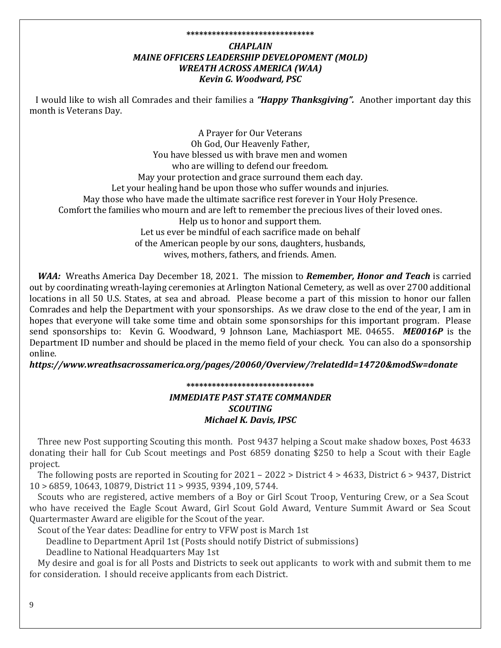# **\*\*\*\*\*\*\*\*\*\*\*\*\*\*\*\*\*\*\*\*\*\*\*\*\*\*\*\*\*\*** *CHAPLAIN MAINE OFFICERS LEADERSHIP DEVELOPOMENT (MOLD) WREATH ACROSS AMERICA (WAA) Kevin G. Woodward, PSC*

 I would like to wish all Comrades and their families a *"Happy Thanksgiving".* Another important day this month is Veterans Day.

A Prayer for Our Veterans Oh God, Our Heavenly Father, You have blessed us with brave men and women who are willing to defend our freedom. May your protection and grace surround them each day. Let your healing hand be upon those who suffer wounds and injuries. May those who have made the ultimate sacrifice rest forever in Your Holy Presence. Comfort the families who mourn and are left to remember the precious lives of their loved ones. Help us to honor and support them. Let us ever be mindful of each sacrifice made on behalf of the American people by our sons, daughters, husbands, wives, mothers, fathers, and friends. Amen.

 *WAA:* Wreaths America Day December 18, 2021. The mission to *Remember, Honor and Teach* is carried out by coordinating wreath-laying ceremonies at Arlington National Cemetery, as well as over 2700 additional locations in all 50 U.S. States, at sea and abroad. Please become a part of this mission to honor our fallen Comrades and help the Department with your sponsorships. As we draw close to the end of the year, I am in hopes that everyone will take some time and obtain some sponsorships for this important program. Please send sponsorships to: Kevin G. Woodward, 9 Johnson Lane, Machiasport ME. 04655. *ME0016P* is the Department ID number and should be placed in the memo field of your check. You can also do a sponsorship online.

*https://www.wreathsacrossamerica.org/pages/20060/Overview/?relatedId=14720&modSw=donate*

# **\*\*\*\*\*\*\*\*\*\*\*\*\*\*\*\*\*\*\*\*\*\*\*\*\*\*\*\*\*\*** *IMMEDIATE PAST STATE COMMANDER SCOUTING Michael K. Davis, IPSC*

 Three new Post supporting Scouting this month. Post 9437 helping a Scout make shadow boxes, Post 4633 donating their hall for Cub Scout meetings and Post 6859 donating \$250 to help a Scout with their Eagle project.

 The following posts are reported in Scouting for 2021 – 2022 > District 4 > 4633, District 6 > 9437, District 10 > 6859, 10643, 10879, District 11 > 9935, 9394 ,109, 5744.

 Scouts who are registered, active members of a Boy or Girl Scout Troop, Venturing Crew, or a Sea Scout who have received the Eagle Scout Award, Girl Scout Gold Award, Venture Summit Award or Sea Scout Quartermaster Award are eligible for the Scout of the year.

Scout of the Year dates: Deadline for entry to VFW post is March 1st

Deadline to Department April 1st (Posts should notify District of submissions)

Deadline to National Headquarters May 1st

 My desire and goal is for all Posts and Districts to seek out applicants to work with and submit them to me for consideration. I should receive applicants from each District.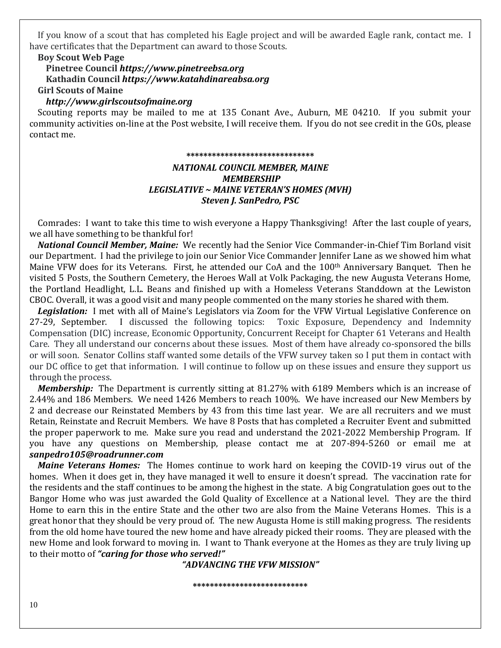If you know of a scout that has completed his Eagle project and will be awarded Eagle rank, contact me. I have certificates that the Department can award to those Scouts.

#### **Boy Scout Web Page**

# **Pinetree Council** *[https://www.pinetreebsa.org](https://www.pinetreebsa.org/)*  **Kathadin Council** *[https://www.katahdinareabsa.org](https://www.katahdinareabsa.org/)* **Girl Scouts of Maine**

# *[http://www.girlscoutsofmaine.org](http://www.girlscoutsofmaine.org/)*

 Scouting reports may be mailed to me at 135 Conant Ave., Auburn, ME 04210. If you submit your community activities on-line at the Post website, I will receive them. If you do not see credit in the GOs, please contact me.

#### **\*\*\*\*\*\*\*\*\*\*\*\*\*\*\*\*\*\*\*\*\*\*\*\*\*\*\*\*\*\***

# *NATIONAL COUNCIL MEMBER, MAINE MEMBERSHIP LEGISLATIVE ~ MAINE VETERAN'S HOMES (MVH) Steven J. SanPedro, PSC*

 Comrades: I want to take this time to wish everyone a Happy Thanksgiving! After the last couple of years, we all have something to be thankful for!

*National Council Member, Maine:*We recently had the Senior Vice Commander-in-Chief Tim Borland visit our Department. I had the privilege to join our Senior Vice Commander Jennifer Lane as we showed him what Maine VFW does for its Veterans. First, he attended our CoA and the 100<sup>th</sup> Anniversary Banquet. Then he visited 5 Posts, the Southern Cemetery, the Heroes Wall at Volk Packaging, the new Augusta Veterans Home, the Portland Headlight, L.L. Beans and finished up with a Homeless Veterans Standdown at the Lewiston CBOC. Overall, it was a good visit and many people commented on the many stories he shared with them.

*Legislation:*I met with all of Maine's Legislators via Zoom for the VFW Virtual Legislative Conference on 27-29, September. I discussed the following topics: Toxic Exposure, Dependency and Indemnity Compensation (DIC) increase, Economic Opportunity, Concurrent Receipt for Chapter 61 Veterans and Health Care. They all understand our concerns about these issues. Most of them have already co-sponsored the bills or will soon. Senator Collins staff wanted some details of the VFW survey taken so I put them in contact with our DC office to get that information. I will continue to follow up on these issues and ensure they support us through the process.

 *Membership:* The Department is currently sitting at 81.27% with 6189 Members which is an increase of 2.44% and 186 Members. We need 1426 Members to reach 100%. We have increased our New Members by 2 and decrease our Reinstated Members by 43 from this time last year. We are all recruiters and we must Retain, Reinstate and Recruit Members. We have 8 Posts that has completed a Recruiter Event and submitted the proper paperwork to me. Make sure you read and understand the 2021-2022 Membership Program. If you have any questions on Membership, please contact me at 207-894-5260 or email me at *sanpedro105@roadrunner.com*

*Maine Veterans Homes:*The Homes continue to work hard on keeping the COVID-19 virus out of the homes. When it does get in, they have managed it well to ensure it doesn't spread. The vaccination rate for the residents and the staff continues to be among the highest in the state. A big Congratulation goes out to the Bangor Home who was just awarded the Gold Quality of Excellence at a National level. They are the third Home to earn this in the entire State and the other two are also from the Maine Veterans Homes. This is a great honor that they should be very proud of. The new Augusta Home is still making progress. The residents from the old home have toured the new home and have already picked their rooms. They are pleased with the new Home and look forward to moving in. I want to Thank everyone at the Homes as they are truly living up to their motto of *"caring for those who served!"*

#### *"ADVANCING THE VFW MISSION"*

**\*\*\*\*\*\*\*\*\*\*\*\*\*\*\*\*\*\*\*\*\*\*\*\*\*\*\***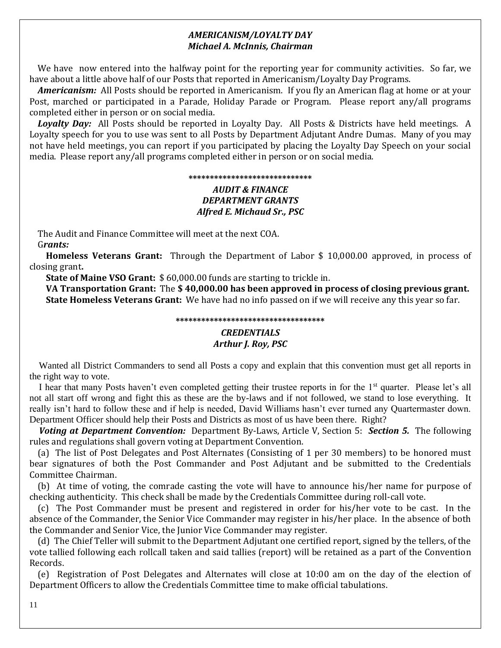# *AMERICANISM/LOYALTY DAY Michael A. McInnis, Chairman*

We have now entered into the halfway point for the reporting year for community activities. So far, we have about a little above half of our Posts that reported in Americanism/Loyalty Day Programs.

 *Americanism:* All Posts should be reported in Americanism. If you fly an American flag at home or at your Post, marched or participated in a Parade, Holiday Parade or Program. Please report any/all programs completed either in person or on social media.

 *Loyalty Day:* All Posts should be reported in Loyalty Day. All Posts & Districts have held meetings. A Loyalty speech for you to use was sent to all Posts by Department Adjutant Andre Dumas. Many of you may not have held meetings, you can report if you participated by placing the Loyalty Day Speech on your social media. Please report any/all programs completed either in person or on social media.

# **\*\*\*\*\*\*\*\*\*\*\*\*\*\*\*\*\*\*\*\*\*\*\*\*\*\*\*\*\*** *AUDIT & FINANCE DEPARTMENT GRANTS Alfred E. Michaud Sr., PSC*

 The Audit and Finance Committee will meet at the next COA. G*rants:*

 **Homeless Veterans Grant:** Through the Department of Labor \$ 10,000.00 approved, in process of closing grant**.** 

 **State of Maine VSO Grant:** \$ 60,000.00 funds are starting to trickle in.

 **VA Transportation Grant:** The **\$ 40,000.00 has been approved in process of closing previous grant. State Homeless Veterans Grant:** We have had no info passed on if we will receive any this year so far.

#### **\*\*\*\*\*\*\*\*\*\*\*\*\*\*\*\*\*\*\*\*\*\*\*\*\*\*\*\*\*\*\*\*\*\*\***

#### *CREDENTIALS Arthur J. Roy, PSC*

Wanted all District Commanders to send all Posts a copy and explain that this convention must get all reports in the right way to vote.

I hear that many Posts haven't even completed getting their trustee reports in for the 1<sup>st</sup> quarter. Please let's all not all start off wrong and fight this as these are the by-laws and if not followed, we stand to lose everything. It really isn't hard to follow these and if help is needed, David Williams hasn't ever turned any Quartermaster down. Department Officer should help their Posts and Districts as most of us have been there. Right?

 *Voting at Department Convention:* Department By-Laws, Article V, Section 5: *Section 5.*The following rules and regulations shall govern voting at Department Convention.

 (a) The list of Post Delegates and Post Alternates (Consisting of 1 per 30 members) to be honored must bear signatures of both the Post Commander and Post Adjutant and be submitted to the Credentials Committee Chairman.

 (b) At time of voting, the comrade casting the vote will have to announce his/her name for purpose of checking authenticity. This check shall be made by the Credentials Committee during roll-call vote.

 (c) The Post Commander must be present and registered in order for his/her vote to be cast. In the absence of the Commander, the Senior Vice Commander may register in his/her place. In the absence of both the Commander and Senior Vice, the Junior Vice Commander may register.

 (d) The Chief Teller will submit to the Department Adjutant one certified report, signed by the tellers, of the vote tallied following each rollcall taken and said tallies (report) will be retained as a part of the Convention Records.

 (e) Registration of Post Delegates and Alternates will close at 10:00 am on the day of the election of Department Officers to allow the Credentials Committee time to make official tabulations.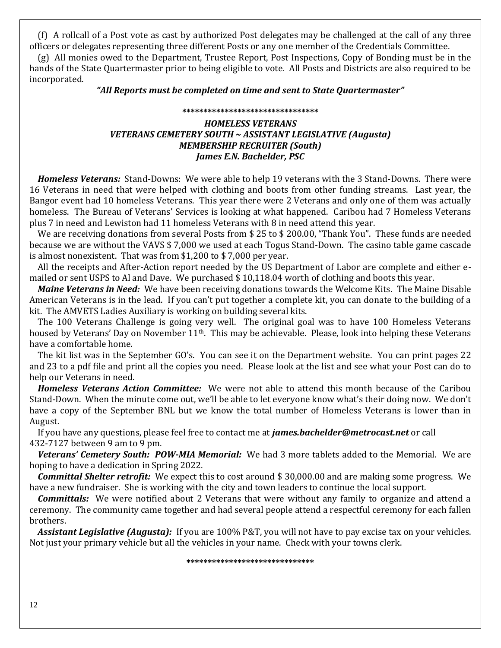(f) A rollcall of a Post vote as cast by authorized Post delegates may be challenged at the call of any three officers or delegates representing three different Posts or any one member of the Credentials Committee.

 (g) All monies owed to the Department, Trustee Report, Post Inspections, Copy of Bonding must be in the hands of the State Quartermaster prior to being eligible to vote. All Posts and Districts are also required to be incorporated.

#### *"All Reports must be completed on time and sent to State Quartermaster"*

#### **\*\*\*\*\*\*\*\*\*\*\*\*\*\*\*\*\*\*\*\*\*\*\*\*\*\*\*\*\*\*\*\***

# *HOMELESS VETERANS VETERANS CEMETERY SOUTH ~ ASSISTANT LEGISLATIVE (Augusta) MEMBERSHIP RECRUITER (South) James E.N. Bachelder, PSC*

 *Homeless Veterans:* Stand-Downs: We were able to help 19 veterans with the 3 Stand-Downs. There were 16 Veterans in need that were helped with clothing and boots from other funding streams. Last year, the Bangor event had 10 homeless Veterans. This year there were 2 Veterans and only one of them was actually homeless. The Bureau of Veterans' Services is looking at what happened. Caribou had 7 Homeless Veterans plus 7 in need and Lewiston had 11 homeless Veterans with 8 in need attend this year.

We are receiving donations from several Posts from \$25 to \$200.00, "Thank You". These funds are needed because we are without the VAVS \$ 7,000 we used at each Togus Stand-Down. The casino table game cascade is almost nonexistent. That was from \$1,200 to \$ 7,000 per year.

 All the receipts and After-Action report needed by the US Department of Labor are complete and either emailed or sent USPS to Al and Dave. We purchased \$ 10,118.04 worth of clothing and boots this year.

 *Maine Veterans in Need:* We have been receiving donations towards the Welcome Kits. The Maine Disable American Veterans is in the lead. If you can't put together a complete kit, you can donate to the building of a kit. The AMVETS Ladies Auxiliary is working on building several kits.

 The 100 Veterans Challenge is going very well. The original goal was to have 100 Homeless Veterans housed by Veterans' Day on November 11<sup>th</sup>. This may be achievable. Please, look into helping these Veterans have a comfortable home.

 The kit list was in the September GO's. You can see it on the Department website. You can print pages 22 and 23 to a pdf file and print all the copies you need. Please look at the list and see what your Post can do to help our Veterans in need.

 *Homeless Veterans Action Committee:* We were not able to attend this month because of the Caribou Stand-Down. When the minute come out, we'll be able to let everyone know what's their doing now. We don't have a copy of the September BNL but we know the total number of Homeless Veterans is lower than in August.

 If you have any questions, please feel free to contact me at *james.bachelder@metrocast.net* or call 432-7127 between 9 am to 9 pm.

 *Veterans' Cemetery South: POW-MIA Memorial:* We had 3 more tablets added to the Memorial. We are hoping to have a dedication in Spring 2022.

 *Committal Shelter retrofit:* We expect this to cost around \$ 30,000.00 and are making some progress. We have a new fundraiser. She is working with the city and town leaders to continue the local support.

 *Committals:* We were notified about 2 Veterans that were without any family to organize and attend a ceremony. The community came together and had several people attend a respectful ceremony for each fallen brothers.

 *Assistant Legislative (Augusta):* If you are 100% P&T, you will not have to pay excise tax on your vehicles. Not just your primary vehicle but all the vehicles in your name. Check with your towns clerk.

**\*\*\*\*\*\*\*\*\*\*\*\*\*\*\*\*\*\*\*\*\*\*\*\*\*\*\*\*\*\***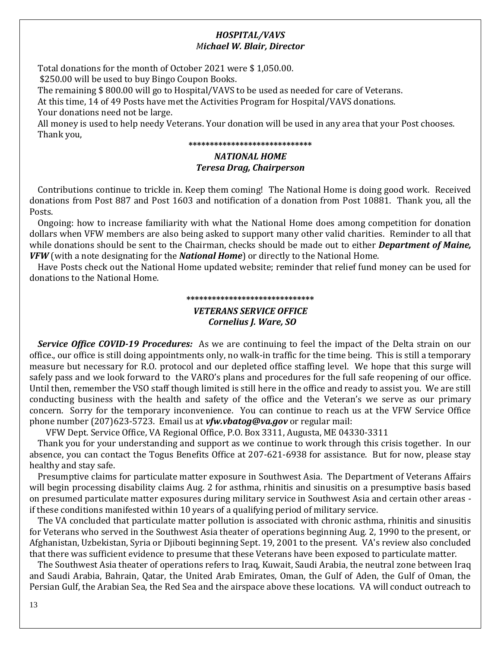# *HOSPITAL/VAVS Michael W. Blair, Director*

Total donations for the month of October 2021 were \$ 1,050.00.

\$250.00 will be used to buy Bingo Coupon Books.

The remaining \$ 800.00 will go to Hospital/VAVS to be used as needed for care of Veterans.

 At this time, 14 of 49 Posts have met the Activities Program for Hospital/VAVS donations. Your donations need not be large.

 All money is used to help needy Veterans. Your donation will be used in any area that your Post chooses. Thank you,

#### **\*\*\*\*\*\*\*\*\*\*\*\*\*\*\*\*\*\*\*\*\*\*\*\*\*\*\*\*\***

#### *NATIONAL HOME Teresa Drag, Chairperson*

Contributions continue to trickle in. Keep them coming! The National Home is doing good work. Received donations from Post 887 and Post 1603 and notification of a donation from Post 10881. Thank you, all the Posts.

 Ongoing: how to increase familiarity with what the National Home does among competition for donation dollars when VFW members are also being asked to support many other valid charities. Reminder to all that while donations should be sent to the Chairman, checks should be made out to either *Department of Maine, VFW* (with a note designating for the *National Home*) or directly to the National Home.

Have Posts check out the National Home updated website; reminder that relief fund money can be used for donations to the National Home.

# **\*\*\*\*\*\*\*\*\*\*\*\*\*\*\*\*\*\*\*\*\*\*\*\*\*\*\*\*\*\***

### *VETERANS SERVICE OFFICE Cornelius J. Ware, SO*

*Service Office COVID-19 Procedures:*As we are continuing to feel the impact of the Delta strain on our office., our office is still doing appointments only, no walk-in traffic for the time being. This is still a temporary measure but necessary for R.O. protocol and our depleted office staffing level. We hope that this surge will safely pass and we look forward to the VARO's plans and procedures for the full safe reopening of our office. Until then, remember the VSO staff though limited is still here in the office and ready to assist you. We are still conducting business with the health and safety of the office and the Veteran's we serve as our primary concern. Sorry for the temporary inconvenience. You can continue to reach us at the VFW Service Office phone number (207)623-5723. Email us at *[vfw.vbatog@va.gov](mailto:vfw.vbatog@va.gov)* or regular mail:

VFW Dept. Service Office, VA Regional Office, P.O. Box 3311, Augusta, ME 04330-3311

 Thank you for your understanding and support as we continue to work through this crisis together. In our absence, you can contact the Togus Benefits Office at 207-621-6938 for assistance. But for now, please stay healthy and stay safe.

 Presumptive claims for particulate matter exposure in Southwest Asia. The Department of Veterans Affairs will begin processing disability claims Aug. 2 for asthma, rhinitis and sinusitis on a presumptive basis based on presumed particulate matter exposures during military service in Southwest Asia and certain other areas if these conditions manifested within 10 years of a qualifying period of military service.

 The VA concluded that particulate matter pollution is associated with chronic asthma, rhinitis and sinusitis for Veterans who served in the Southwest Asia theater of operations beginning Aug. 2, 1990 to the present, or Afghanistan, Uzbekistan, Syria or Djibouti beginning Sept. 19, 2001 to the present. VA's review also concluded that there was sufficient evidence to presume that these Veterans have been exposed to particulate matter.

 The Southwest Asia theater of operations refers to Iraq, Kuwait, Saudi Arabia, the neutral zone between Iraq and Saudi Arabia, Bahrain, Qatar, the United Arab Emirates, Oman, the Gulf of Aden, the Gulf of Oman, the Persian Gulf, the Arabian Sea, the Red Sea and the airspace above these locations. VA will conduct outreach to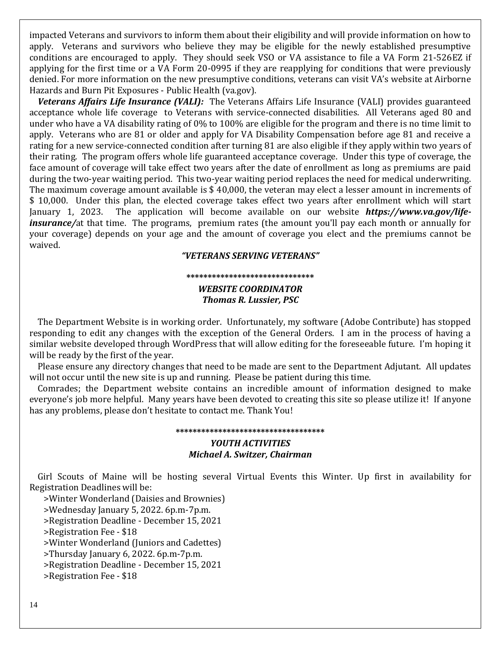impacted Veterans and survivors to inform them about their eligibility and will provide information on how to apply. Veterans and survivors who believe they may be eligible for the newly established presumptive conditions are encouraged to apply. They should seek VSO or VA assistance to file a VA Form 21-526EZ if applying for the first time or a VA Form 20-0995 if they are reapplying for conditions that were previously denied. For more information on the new presumptive conditions, veterans can visit VA's website at Airborne Hazards and Burn Pit Exposures - Public Health (va.gov).

 *Veterans Affairs Life Insurance (VALI):* The Veterans Affairs Life Insurance (VALI) provides guaranteed acceptance whole life coverage to Veterans with service-connected disabilities. All Veterans aged 80 and under who have a VA disability rating of 0% to 100% are eligible for the program and there is no time limit to apply. Veterans who are 81 or older and apply for VA Disability Compensation before age 81 and receive a rating for a new service-connected condition after turning 81 are also eligible if they apply within two years of their rating. The program offers whole life guaranteed acceptance coverage. Under this type of coverage, the face amount of coverage will take effect two years after the date of enrollment as long as premiums are paid during the two-year waiting period. This two-year waiting period replaces the need for medical underwriting. The maximum coverage amount available is \$ 40,000, the veteran may elect a lesser amount in increments of \$ 10,000. Under this plan, the elected coverage takes effect two years after enrollment which will start January 1, 2023. The application will become available on our website *https://www.va.gov/lifeinsurance/*at that time. The programs, premium rates (the amount you'll pay each month or annually for your coverage) depends on your age and the amount of coverage you elect and the premiums cannot be waived.

#### *"VETERANS SERVING VETERANS"*

#### **\*\*\*\*\*\*\*\*\*\*\*\*\*\*\*\*\*\*\*\*\*\*\*\*\*\*\*\*\*\***

#### *WEBSITE COORDINATOR Thomas R. Lussier, PSC*

 The Department Website is in working order. Unfortunately, my software (Adobe Contribute) has stopped responding to edit any changes with the exception of the General Orders. I am in the process of having a similar website developed through WordPress that will allow editing for the foreseeable future. I'm hoping it will be ready by the first of the year.

 Please ensure any directory changes that need to be made are sent to the Department Adjutant. All updates will not occur until the new site is up and running. Please be patient during this time.

 Comrades; the Department website contains an incredible amount of information designed to make everyone's job more helpful. Many years have been devoted to creating this site so please utilize it! If anyone has any problems, please don't hesitate to contact me. Thank You!

#### **\*\*\*\*\*\*\*\*\*\*\*\*\*\*\*\*\*\*\*\*\*\*\*\*\*\*\*\*\*\*\*\*\*\*\***

# *YOUTH ACTIVITIES Michael A. Switzer, Chairman*

 Girl Scouts of Maine will be hosting several Virtual Events this Winter. Up first in availability for Registration Deadlines will be:

>Winter Wonderland (Daisies and Brownies)

>Wednesday January 5, 2022. 6p.m-7p.m.

>Registration Deadline - December 15, 2021

>Registration Fee - \$18

>Winter Wonderland (Juniors and Cadettes)

>Thursday January 6, 2022. 6p.m-7p.m.

>Registration Deadline - December 15, 2021

>Registration Fee - \$18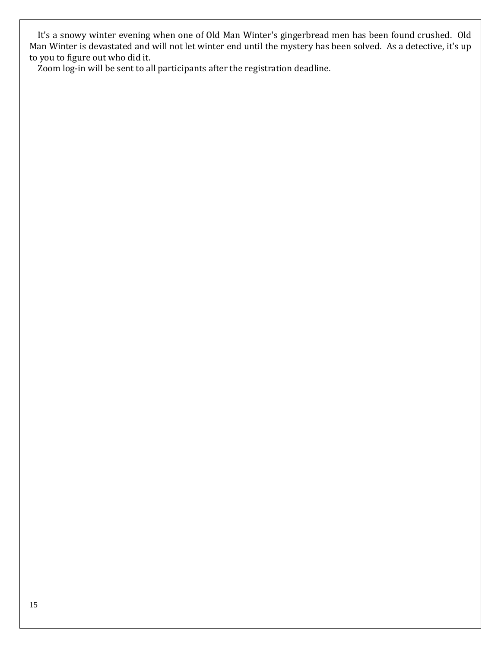It's a snowy winter evening when one of Old Man Winter's gingerbread men has been found crushed. Old Man Winter is devastated and will not let winter end until the mystery has been solved. As a detective, it's up to you to figure out who did it.

Zoom log-in will be sent to all participants after the registration deadline.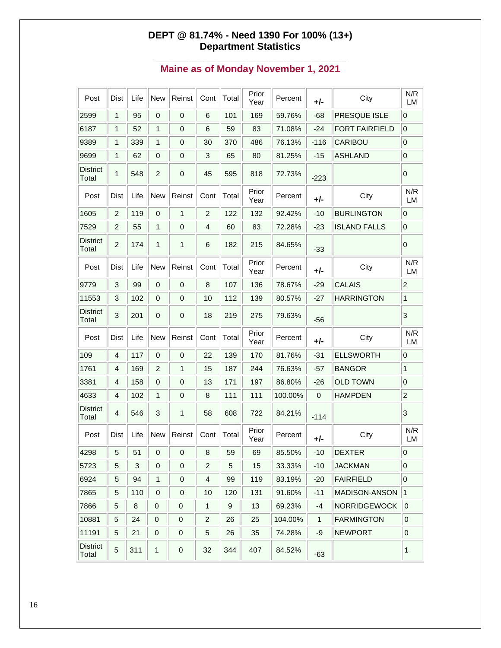# **DEPT @ 81.74% - Need 1390 For 100% (13+) Department Statistics**

# **\_\_\_\_\_\_\_\_\_\_\_\_\_\_\_\_\_\_\_\_\_\_\_\_\_\_\_\_\_\_\_\_\_\_\_ Maine as of Monday November 1, 2021**

| Post                     | <b>Dist</b>    | Life | <b>New</b>       | Reinst      | Cont                    | Total | Prior<br>Year | Percent | +/-    | City                  | N/R<br><b>LM</b> |
|--------------------------|----------------|------|------------------|-------------|-------------------------|-------|---------------|---------|--------|-----------------------|------------------|
| 2599                     | 1              | 95   | 0                | 0           | 6                       | 101   | 169           | 59.76%  | $-68$  | PRESQUE ISLE          | 0                |
| 6187                     | 1              | 52   | 1                | 0           | 6                       | 59    | 83            | 71.08%  | $-24$  | <b>FORT FAIRFIELD</b> | $\mbox{O}$       |
| 9389                     | 1              | 339  | 1                | 0           | 30                      | 370   | 486           | 76.13%  | $-116$ | CARIBOU               | $\mathbf 0$      |
| 9699                     | 1              | 62   | 0                | 0           | 3                       | 65    | 80            | 81.25%  | $-15$  | <b>ASHLAND</b>        | $\mbox{O}$       |
| <b>District</b><br>Total | $\mathbf{1}$   | 548  | $\overline{2}$   | 0           | 45                      | 595   | 818           | 72.73%  | $-223$ |                       | 0                |
| Post                     | Dist           | Life | New              | Reinst      | Cont                    | Total | Prior<br>Year | Percent | +/-    | City                  | N/R<br>LM        |
| 1605                     | $\overline{2}$ | 119  | $\mathbf 0$      | 1           | $\overline{c}$          | 122   | 132           | 92.42%  | $-10$  | <b>BURLINGTON</b>     | 0                |
| 7529                     | 2              | 55   | 1                | 0           | 4                       | 60    | 83            | 72.28%  | $-23$  | <b>ISLAND FALLS</b>   | $\mathbf 0$      |
| <b>District</b><br>Total | 2              | 174  | 1                | 1           | 6                       | 182   | 215           | 84.65%  | $-33$  |                       | 0                |
| Post                     | <b>Dist</b>    | Life | New              | Reinst      | Cont                    | Total | Prior<br>Year | Percent | +/-    | City                  | N/R<br>LM        |
| 9779                     | 3              | 99   | $\boldsymbol{0}$ | $\pmb{0}$   | 8                       | 107   | 136           | 78.67%  | $-29$  | <b>CALAIS</b>         | $\overline{c}$   |
| 11553                    | 3              | 102  | 0                | 0           | 10                      | 112   | 139           | 80.57%  | $-27$  | <b>HARRINGTON</b>     | 1                |
| <b>District</b><br>Total | 3              | 201  | 0                | $\mathbf 0$ | 18                      | 219   | 275           | 79.63%  | $-56$  |                       | 3                |
| Post                     | Dist           | Life | <b>New</b>       | Reinst      | Cont                    | Total | Prior<br>Year | Percent | +/-    | City                  | N/R<br>LM        |
| 109                      | 4              | 117  | 0                | 0           | 22                      | 139   | 170           | 81.76%  | $-31$  | <b>ELLSWORTH</b>      | $\mathbf 0$      |
| 1761                     | 4              | 169  | $\overline{c}$   | 1           | 15                      | 187   | 244           | 76.63%  | -57    | <b>BANGOR</b>         | $\mathbf{1}$     |
| 3381                     | 4              | 158  | 0                | 0           | 13                      | 171   | 197           | 86.80%  | $-26$  | <b>OLD TOWN</b>       | 0                |
| 4633                     | 4              | 102  | 1                | 0           | 8                       | 111   | 111           | 100.00% | 0      | <b>HAMPDEN</b>        | $\overline{c}$   |
| <b>District</b><br>Total | 4              | 546  | 3                | 1           | 58                      | 608   | 722           | 84.21%  | $-114$ |                       | 3                |
| Post                     | Dist           | Life | New              | Reinst      | Cont                    | Total | Prior<br>Year | Percent | $+/-$  | City                  | N/R<br>LM        |
| 4298                     | 5              | 51   | $\pmb{0}$        | 0           | 8                       | 59    | 69            | 85.50%  | $-10$  | <b>DEXTER</b>         | 0                |
| 5723                     | 5              | 3    | 0                | 0           | $\overline{2}$          | 5     | 15            | 33.33%  | $-10$  | <b>JACKMAN</b>        | 0                |
| 6924                     | 5              | 94   | 1                | 0           | 4                       | 99    | 119           | 83.19%  | $-20$  | <b>FAIRFIELD</b>      | $\pmb{0}$        |
| 7865                     | 5              | 110  | 0                | 0           | 10                      | 120   | 131           | 91.60%  | $-11$  | MADISON-ANSON         | $\mathbf{1}$     |
| 7866                     | 5              | 8    | 0                | 0           | 1                       | 9     | 13            | 69.23%  | $-4$   | <b>NORRIDGEWOCK</b>   | $\overline{0}$   |
| 10881                    | 5              | 24   | $\pmb{0}$        | $\pmb{0}$   | $\overline{\mathbf{c}}$ | 26    | 25            | 104.00% | 1      | <b>FARMINGTON</b>     | $\pmb{0}$        |
| 11191                    | 5              | 21   | $\boldsymbol{0}$ | 0           | 5                       | 26    | 35            | 74.28%  | -9     | <b>NEWPORT</b>        | $\pmb{0}$        |
| <b>District</b><br>Total | 5              | 311  | 1                | $\pmb{0}$   | 32                      | 344   | 407           | 84.52%  | $-63$  |                       | 1                |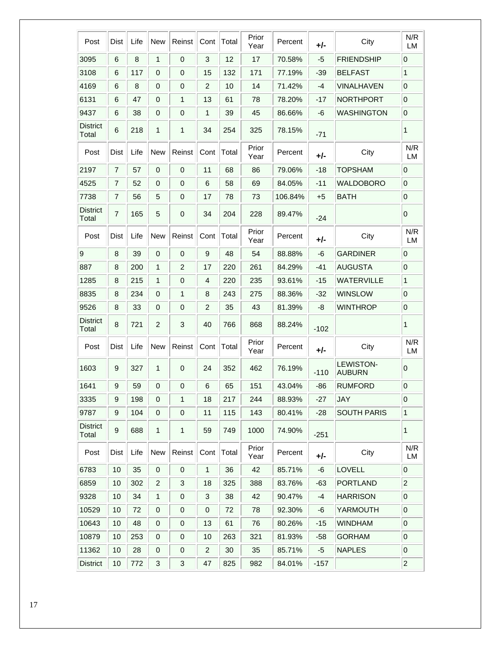| Post                     | Dist             | Life               | <b>New</b>                | Reinst         | Cont           | Total | Prior<br>Year | Percent | $+/-$  | City                              | N/R<br>LM        |
|--------------------------|------------------|--------------------|---------------------------|----------------|----------------|-------|---------------|---------|--------|-----------------------------------|------------------|
| 3095                     | $\,6$            | 8                  | $\mathbf{1}$              | $\mathbf 0$    | 3              | 12    | 17            | 70.58%  | -5     | <b>FRIENDSHIP</b>                 | 0                |
| 3108                     | 6                | 117                | 0                         | 0              | 15             | 132   | 171           | 77.19%  | $-39$  | <b>BELFAST</b>                    | $\mathbf 1$      |
| 4169                     | 6                | 8                  | $\mathbf 0$               | 0              | 2              | 10    | 14            | 71.42%  | -4     | <b>VINALHAVEN</b>                 | $\mathbf 0$      |
| 6131                     | 6                | 47                 | $\mathbf 0$               | $\mathbf{1}$   | 13             | 61    | 78            | 78.20%  | $-17$  | <b>NORTHPORT</b>                  | $\mathbf 0$      |
| 9437                     | 6                | 38                 | 0                         | 0              | $\mathbf{1}$   | 39    | 45            | 86.66%  | -6     | <b>WASHINGTON</b>                 | $\mathbf 0$      |
| <b>District</b><br>Total | 6                | 218                | 1                         | 1              | 34             | 254   | 325           | 78.15%  | $-71$  |                                   | 1                |
| Post                     | Dist             | Life               | New                       | Reinst         | Cont           | Total | Prior<br>Year | Percent | $+/-$  | City                              | N/R<br>LM        |
| 2197                     | $\overline{7}$   | 57                 | $\mathbf 0$               | $\mathbf 0$    | 11             | 68    | 86            | 79.06%  | $-18$  | <b>TOPSHAM</b>                    | $\mathbf 0$      |
| 4525                     | 7                | 52                 | $\mathbf 0$               | 0              | 6              | 58    | 69            | 84.05%  | $-11$  | <b>WALDOBORO</b>                  | $\mathbf 0$      |
| 7738                     | $\overline{7}$   | 56                 | 5                         | 0              | 17             | 78    | 73            | 106.84% | $+5$   | <b>BATH</b>                       | $\mathbf 0$      |
| <b>District</b><br>Total | 7                | 165                | 5                         | 0              | 34             | 204   | 228           | 89.47%  | -24    |                                   | 0                |
| Post                     | Dist             | Life               | New                       | Reinst         | Cont           | Total | Prior<br>Year | Percent | +/-    | City                              | N/R<br>LM        |
| 9                        | 8                | 39                 | 0                         | $\mathbf 0$    | 9              | 48    | 54            | 88.88%  | -6     | <b>GARDINER</b>                   | $\mathbf 0$      |
| 887                      | 8                | 200                | $\mathbf{1}$              | $\overline{c}$ | 17             | 220   | 261           | 84.29%  | $-41$  | <b>AUGUSTA</b>                    | $\mathbf 0$      |
| 1285                     | 8                | 215                | 1                         | $\mathbf 0$    | 4              | 220   | 235           | 93.61%  | $-15$  | <b>WATERVILLE</b>                 | 1                |
| 8835                     | 8                | 234                | $\mathbf 0$               | $\mathbf{1}$   | 8              | 243   | 275           | 88.36%  | $-32$  | <b>WINSLOW</b>                    | $\mathbf 0$      |
| 9526                     | 8                | 33                 | $\mathbf 0$               | 0              | $\overline{2}$ | 35    | 43            | 81.39%  | -8     | <b>WINTHROP</b>                   | $\boldsymbol{0}$ |
| <b>District</b><br>Total | 8                | 721                | $\overline{2}$            | 3              | 40             | 766   | 868           | 88.24%  | $-102$ |                                   | 1                |
| Post                     | Dist             | Life               | New                       | Reinst         | Cont           | Total | Prior<br>Year | Percent | +/-    | City                              | N/R<br>LМ        |
| 1603                     | 9                | 327                | 1                         | 0              | 24             | 352   | 462           | 76.19%  | $-110$ | <b>LEWISTON-</b><br><b>AUBURN</b> | 0                |
| 1641                     | 9                | 59                 | $\mathbf 0$               | 0              | 6              | 65    | 151           | 43.04%  | $-86$  | <b>RUMFORD</b>                    | $\mathbf 0$      |
| 3335                     | 9                | 198                | 0                         | $\mathbf{1}$   | 18             | 217   | 244           | 88.93%  | $-27$  | <b>JAY</b>                        | $\mbox{O}$       |
| 9787                     | $\boldsymbol{9}$ | 104                | $\pmb{0}$                 | $\mathbf 0$    | 11             | 115   | 143           | 80.41%  | $-28$  | <b>SOUTH PARIS</b>                | $\mathbf{1}$     |
| <b>District</b><br>Total | 9                | 688                | 1                         | $\mathbf{1}$   | 59             | 749   | 1000          | 74.90%  | $-251$ |                                   | $\mathbf{1}$     |
| Post                     | Dist             | Life               | <b>New</b>                | Reinst         | Cont           | Total | Prior<br>Year | Percent | +/-    | City                              | N/R<br>LM        |
| 6783                     | 10               | 35                 | 0                         | $\pmb{0}$      | $\mathbf{1}$   | 36    | 42            | 85.71%  | -6     | LOVELL                            | $\mathbf 0$      |
| 6859                     | 10               | 302                | $\overline{c}$            | 3              | 18             | 325   | 388           | 83.76%  | -63    | <b>PORTLAND</b>                   | $\overline{2}$   |
| 9328                     | 10               | 34                 | 1                         | $\pmb{0}$      | 3              | 38    | 42            | 90.47%  | $-4$   | <b>HARRISON</b>                   | $\mathbf 0$      |
| 10529                    | 10               | 72                 | $\pmb{0}$                 | $\mathbf 0$    | 0              | 72    | 78            | 92.30%  | -6     | YARMOUTH                          | $\mathbf 0$      |
| 10643                    | 10               | 48                 | $\boldsymbol{0}$          | 0              | 13             | 61    | 76            | 80.26%  | $-15$  | <b>WINDHAM</b>                    | $\pmb{0}$        |
| 10879                    | 10               | 253<br>$\mathbf 0$ |                           | 0              | 10             | 263   | 321           | 81.93%  | $-58$  | <b>GORHAM</b>                     | $\pmb{0}$        |
| 11362                    | 28<br>10         |                    | $\pmb{0}$                 | $\mathbf 0$    | $\overline{c}$ | 30    | 35            | 85.71%  | -5     | <b>NAPLES</b>                     | $\mbox{O}$       |
| <b>District</b><br>10    |                  | 772                | $\ensuremath{\mathsf{3}}$ | 3              | 47             | 825   | 982           | 84.01%  | $-157$ |                                   | $\overline{c}$   |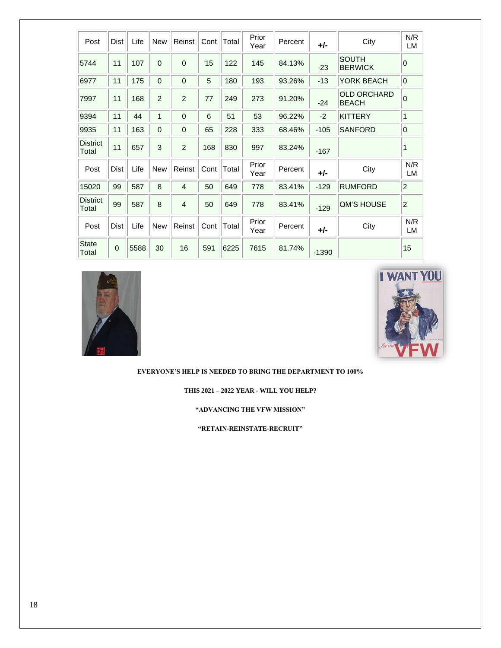| Post                     | Dist        | Life | <b>New</b>     | Reinst         | Cont | Total | Prior<br>Year | Percent | +/-     | City                               | N/R<br>LM      |
|--------------------------|-------------|------|----------------|----------------|------|-------|---------------|---------|---------|------------------------------------|----------------|
| 5744                     | 11          | 107  | $\Omega$       | 0              | 15   | 122   | 145           | 84.13%  | $-23$   | <b>SOUTH</b><br><b>BERWICK</b>     | $\overline{0}$ |
| 6977                     | 11          | 175  | 0              | 0              | 5    | 180   | 193           | 93.26%  | $-13$   | YORK BEACH                         | $\overline{0}$ |
| 7997                     | 11          | 168  | $\overline{2}$ | $\overline{2}$ | 77   | 249   | 273           | 91.20%  | $-24$   | <b>OLD ORCHARD</b><br><b>BEACH</b> | $\overline{0}$ |
| 9394                     | 11          | 44   | 1              | 0              | 6    | 51    | 53            | 96.22%  | $-2$    | <b>KITTERY</b>                     | 1              |
| 9935                     | 11          | 163  | 0              | $\mathbf{0}$   | 65   | 228   | 333           | 68.46%  | $-105$  | <b>SANFORD</b>                     | $\overline{0}$ |
| <b>District</b><br>Total | 11          | 657  | 3              | $\overline{2}$ | 168  | 830   | 997           | 83.24%  | $-167$  |                                    | 1              |
| Post                     | <b>Dist</b> | Life | <b>New</b>     | Reinst         | Cont | Total | Prior<br>Year | Percent | +/-     | City                               | N/R<br>LM      |
| 15020                    | 99          | 587  | 8              | $\overline{4}$ | 50   | 649   | 778           | 83.41%  | $-129$  | <b>RUMFORD</b>                     | $\overline{2}$ |
| <b>District</b><br>Total | 99          | 587  | 8              | 4              | 50   | 649   | 778           | 83.41%  | $-129$  | <b>QM'S HOUSE</b>                  | $\overline{c}$ |
| Post                     | <b>Dist</b> | Life | <b>New</b>     | Reinst         | Cont | Total | Prior<br>Year | Percent | +/-     | City                               | N/R<br>LM      |
| <b>State</b><br>Total    | $\mathbf 0$ | 5588 | 30             | 16             | 591  | 6225  | 7615          | 81.74%  | $-1390$ |                                    | 15             |





**EVERYONE'S HELP IS NEEDED TO BRING THE DEPARTMENT TO 100%**

**THIS 2021 – 2022 YEAR - WILL YOU HELP?**

**"ADVANCING THE VFW MISSION"** 

**"RETAIN-REINSTATE-RECRUIT"**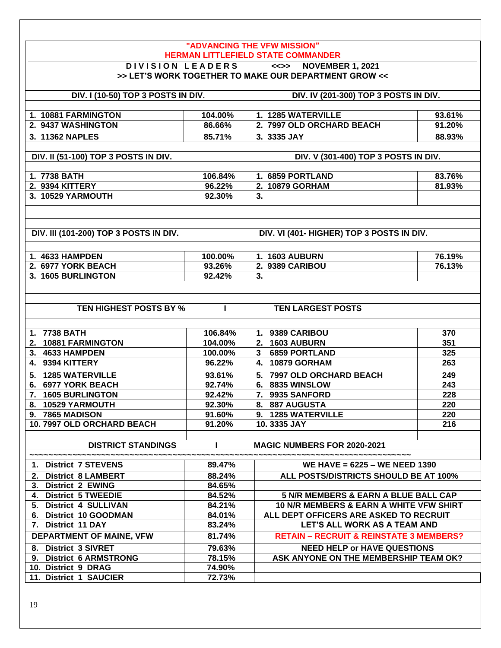| "ADVANCING THE VFW MISSION"<br><b>HERMAN LITTLEFIELD STATE COMMANDER</b><br>DIVISION LEADERS<br><b>NOVEMBER 1, 2021</b><br><<>><br>>> LET'S WORK TOGETHER TO MAKE OUR DEPARTMENT GROW <<<br>DIV. I (10-50) TOP 3 POSTS IN DIV.<br>DIV. IV (201-300) TOP 3 POSTS IN DIV.<br>1. 10881 FARMINGTON<br>1. 1285 WATERVILLE<br>93.61%<br>104.00%<br>91.20%<br>2. 9437 WASHINGTON<br>86.66%<br>2. 7997 OLD ORCHARD BEACH<br>85.71%<br>3. 11362 NAPLES<br>3. 3335 JAY<br>88.93%<br>DIV. II (51-100) TOP 3 POSTS IN DIV.<br>DIV. V (301-400) TOP 3 POSTS IN DIV.<br>1. 7738 BATH<br>1. 6859 PORTLAND<br>83.76%<br>106.84%<br>2. 9394 KITTERY<br>2. 10879 GORHAM<br>81.93%<br>96.22%<br>3. 10529 YARMOUTH<br>92.30%<br>3.<br>DIV. III (101-200) TOP 3 POSTS IN DIV.<br>DIV. VI (401- HIGHER) TOP 3 POSTS IN DIV.<br>1. 4633 HAMPDEN<br>1. 1603 AUBURN<br>100.00%<br>76.19%<br>93.26%<br>76.13%<br>2. 6977 YORK BEACH<br>2. 9389 CARIBOU<br>3. 1605 BURLINGTON<br>92.42%<br>3.<br>TEN HIGHEST POSTS BY %<br><b>TEN LARGEST POSTS</b><br>п<br>1. 7738 BATH<br>106.84%<br>1. 9389 CARIBOU<br>370<br>2. 10881 FARMINGTON<br>$2.1603$ AUBURN<br>104.00%<br>351<br>3. 4633 HAMPDEN<br>3 6859 PORTLAND<br>100.00%<br>325<br>4. 9394 KITTERY<br>4. 10879 GORHAM<br>96.22%<br>263<br><b>1285 WATERVILLE</b><br>5. 7997 OLD ORCHARD BEACH<br>93.61%<br>249<br>5.<br>6. 6977 YORK BEACH<br>92.74%<br>6. 8835 WINSLOW<br>243<br>$\overline{228}$<br>7. 1605 BURLINGTON<br>7. 9935 SANFORD<br>92.42%<br>220<br>8. 10529 YARMOUTH<br>92.30%<br>8. 887 AUGUSTA<br>9. 7865 MADISON<br>91.60%<br>9. 1285 WATERVILLE<br>220<br>10. 7997 OLD ORCHARD BEACH<br>91.20%<br>10.3335 JAY<br>216<br><b>DISTRICT STANDINGS</b><br><b>MAGIC NUMBERS FOR 2020-2021</b><br>L<br>1. District 7 STEVENS<br>89.47%<br>WE HAVE = $6225 - WE$ NEED 1390<br><b>District 8 LAMBERT</b><br>88.24%<br>ALL POSTS/DISTRICTS SHOULD BE AT 100%<br>2.<br><b>District 2 EWING</b><br>84.65%<br>3.<br><b>District 5 TWEEDIE</b><br>84.52%<br>5 N/R MEMBERS & EARN A BLUE BALL CAP<br>4.<br><b>District 4 SULLIVAN</b><br>10 N/R MEMBERS & EARN A WHITE VFW SHIRT<br>84.21%<br>5.<br>ALL DEPT OFFICERS ARE ASKED TO RECRUIT<br>District 10 GOODMAN<br>84.01%<br>6.<br><b>District 11 DAY</b><br>LET'S ALL WORK AS A TEAM AND<br>83.24%<br>7. |                          |        |  |  |  |  |  |  |  |  |  |  |  |  |  |
|--------------------------------------------------------------------------------------------------------------------------------------------------------------------------------------------------------------------------------------------------------------------------------------------------------------------------------------------------------------------------------------------------------------------------------------------------------------------------------------------------------------------------------------------------------------------------------------------------------------------------------------------------------------------------------------------------------------------------------------------------------------------------------------------------------------------------------------------------------------------------------------------------------------------------------------------------------------------------------------------------------------------------------------------------------------------------------------------------------------------------------------------------------------------------------------------------------------------------------------------------------------------------------------------------------------------------------------------------------------------------------------------------------------------------------------------------------------------------------------------------------------------------------------------------------------------------------------------------------------------------------------------------------------------------------------------------------------------------------------------------------------------------------------------------------------------------------------------------------------------------------------------------------------------------------------------------------------------------------------------------------------------------------------------------------------------------------------------------------------------------------------------------------------------------------------------------------------------------------------------------------------------------------------|--------------------------|--------|--|--|--|--|--|--|--|--|--|--|--|--|--|
|                                                                                                                                                                                                                                                                                                                                                                                                                                                                                                                                                                                                                                                                                                                                                                                                                                                                                                                                                                                                                                                                                                                                                                                                                                                                                                                                                                                                                                                                                                                                                                                                                                                                                                                                                                                                                                                                                                                                                                                                                                                                                                                                                                                                                                                                                      |                          |        |  |  |  |  |  |  |  |  |  |  |  |  |  |
|                                                                                                                                                                                                                                                                                                                                                                                                                                                                                                                                                                                                                                                                                                                                                                                                                                                                                                                                                                                                                                                                                                                                                                                                                                                                                                                                                                                                                                                                                                                                                                                                                                                                                                                                                                                                                                                                                                                                                                                                                                                                                                                                                                                                                                                                                      |                          |        |  |  |  |  |  |  |  |  |  |  |  |  |  |
|                                                                                                                                                                                                                                                                                                                                                                                                                                                                                                                                                                                                                                                                                                                                                                                                                                                                                                                                                                                                                                                                                                                                                                                                                                                                                                                                                                                                                                                                                                                                                                                                                                                                                                                                                                                                                                                                                                                                                                                                                                                                                                                                                                                                                                                                                      |                          |        |  |  |  |  |  |  |  |  |  |  |  |  |  |
|                                                                                                                                                                                                                                                                                                                                                                                                                                                                                                                                                                                                                                                                                                                                                                                                                                                                                                                                                                                                                                                                                                                                                                                                                                                                                                                                                                                                                                                                                                                                                                                                                                                                                                                                                                                                                                                                                                                                                                                                                                                                                                                                                                                                                                                                                      |                          |        |  |  |  |  |  |  |  |  |  |  |  |  |  |
|                                                                                                                                                                                                                                                                                                                                                                                                                                                                                                                                                                                                                                                                                                                                                                                                                                                                                                                                                                                                                                                                                                                                                                                                                                                                                                                                                                                                                                                                                                                                                                                                                                                                                                                                                                                                                                                                                                                                                                                                                                                                                                                                                                                                                                                                                      |                          |        |  |  |  |  |  |  |  |  |  |  |  |  |  |
|                                                                                                                                                                                                                                                                                                                                                                                                                                                                                                                                                                                                                                                                                                                                                                                                                                                                                                                                                                                                                                                                                                                                                                                                                                                                                                                                                                                                                                                                                                                                                                                                                                                                                                                                                                                                                                                                                                                                                                                                                                                                                                                                                                                                                                                                                      |                          |        |  |  |  |  |  |  |  |  |  |  |  |  |  |
|                                                                                                                                                                                                                                                                                                                                                                                                                                                                                                                                                                                                                                                                                                                                                                                                                                                                                                                                                                                                                                                                                                                                                                                                                                                                                                                                                                                                                                                                                                                                                                                                                                                                                                                                                                                                                                                                                                                                                                                                                                                                                                                                                                                                                                                                                      |                          |        |  |  |  |  |  |  |  |  |  |  |  |  |  |
|                                                                                                                                                                                                                                                                                                                                                                                                                                                                                                                                                                                                                                                                                                                                                                                                                                                                                                                                                                                                                                                                                                                                                                                                                                                                                                                                                                                                                                                                                                                                                                                                                                                                                                                                                                                                                                                                                                                                                                                                                                                                                                                                                                                                                                                                                      |                          |        |  |  |  |  |  |  |  |  |  |  |  |  |  |
|                                                                                                                                                                                                                                                                                                                                                                                                                                                                                                                                                                                                                                                                                                                                                                                                                                                                                                                                                                                                                                                                                                                                                                                                                                                                                                                                                                                                                                                                                                                                                                                                                                                                                                                                                                                                                                                                                                                                                                                                                                                                                                                                                                                                                                                                                      |                          |        |  |  |  |  |  |  |  |  |  |  |  |  |  |
|                                                                                                                                                                                                                                                                                                                                                                                                                                                                                                                                                                                                                                                                                                                                                                                                                                                                                                                                                                                                                                                                                                                                                                                                                                                                                                                                                                                                                                                                                                                                                                                                                                                                                                                                                                                                                                                                                                                                                                                                                                                                                                                                                                                                                                                                                      |                          |        |  |  |  |  |  |  |  |  |  |  |  |  |  |
|                                                                                                                                                                                                                                                                                                                                                                                                                                                                                                                                                                                                                                                                                                                                                                                                                                                                                                                                                                                                                                                                                                                                                                                                                                                                                                                                                                                                                                                                                                                                                                                                                                                                                                                                                                                                                                                                                                                                                                                                                                                                                                                                                                                                                                                                                      |                          |        |  |  |  |  |  |  |  |  |  |  |  |  |  |
|                                                                                                                                                                                                                                                                                                                                                                                                                                                                                                                                                                                                                                                                                                                                                                                                                                                                                                                                                                                                                                                                                                                                                                                                                                                                                                                                                                                                                                                                                                                                                                                                                                                                                                                                                                                                                                                                                                                                                                                                                                                                                                                                                                                                                                                                                      |                          |        |  |  |  |  |  |  |  |  |  |  |  |  |  |
|                                                                                                                                                                                                                                                                                                                                                                                                                                                                                                                                                                                                                                                                                                                                                                                                                                                                                                                                                                                                                                                                                                                                                                                                                                                                                                                                                                                                                                                                                                                                                                                                                                                                                                                                                                                                                                                                                                                                                                                                                                                                                                                                                                                                                                                                                      |                          |        |  |  |  |  |  |  |  |  |  |  |  |  |  |
|                                                                                                                                                                                                                                                                                                                                                                                                                                                                                                                                                                                                                                                                                                                                                                                                                                                                                                                                                                                                                                                                                                                                                                                                                                                                                                                                                                                                                                                                                                                                                                                                                                                                                                                                                                                                                                                                                                                                                                                                                                                                                                                                                                                                                                                                                      |                          |        |  |  |  |  |  |  |  |  |  |  |  |  |  |
|                                                                                                                                                                                                                                                                                                                                                                                                                                                                                                                                                                                                                                                                                                                                                                                                                                                                                                                                                                                                                                                                                                                                                                                                                                                                                                                                                                                                                                                                                                                                                                                                                                                                                                                                                                                                                                                                                                                                                                                                                                                                                                                                                                                                                                                                                      |                          |        |  |  |  |  |  |  |  |  |  |  |  |  |  |
|                                                                                                                                                                                                                                                                                                                                                                                                                                                                                                                                                                                                                                                                                                                                                                                                                                                                                                                                                                                                                                                                                                                                                                                                                                                                                                                                                                                                                                                                                                                                                                                                                                                                                                                                                                                                                                                                                                                                                                                                                                                                                                                                                                                                                                                                                      |                          |        |  |  |  |  |  |  |  |  |  |  |  |  |  |
|                                                                                                                                                                                                                                                                                                                                                                                                                                                                                                                                                                                                                                                                                                                                                                                                                                                                                                                                                                                                                                                                                                                                                                                                                                                                                                                                                                                                                                                                                                                                                                                                                                                                                                                                                                                                                                                                                                                                                                                                                                                                                                                                                                                                                                                                                      |                          |        |  |  |  |  |  |  |  |  |  |  |  |  |  |
|                                                                                                                                                                                                                                                                                                                                                                                                                                                                                                                                                                                                                                                                                                                                                                                                                                                                                                                                                                                                                                                                                                                                                                                                                                                                                                                                                                                                                                                                                                                                                                                                                                                                                                                                                                                                                                                                                                                                                                                                                                                                                                                                                                                                                                                                                      |                          |        |  |  |  |  |  |  |  |  |  |  |  |  |  |
|                                                                                                                                                                                                                                                                                                                                                                                                                                                                                                                                                                                                                                                                                                                                                                                                                                                                                                                                                                                                                                                                                                                                                                                                                                                                                                                                                                                                                                                                                                                                                                                                                                                                                                                                                                                                                                                                                                                                                                                                                                                                                                                                                                                                                                                                                      |                          |        |  |  |  |  |  |  |  |  |  |  |  |  |  |
|                                                                                                                                                                                                                                                                                                                                                                                                                                                                                                                                                                                                                                                                                                                                                                                                                                                                                                                                                                                                                                                                                                                                                                                                                                                                                                                                                                                                                                                                                                                                                                                                                                                                                                                                                                                                                                                                                                                                                                                                                                                                                                                                                                                                                                                                                      |                          |        |  |  |  |  |  |  |  |  |  |  |  |  |  |
|                                                                                                                                                                                                                                                                                                                                                                                                                                                                                                                                                                                                                                                                                                                                                                                                                                                                                                                                                                                                                                                                                                                                                                                                                                                                                                                                                                                                                                                                                                                                                                                                                                                                                                                                                                                                                                                                                                                                                                                                                                                                                                                                                                                                                                                                                      |                          |        |  |  |  |  |  |  |  |  |  |  |  |  |  |
|                                                                                                                                                                                                                                                                                                                                                                                                                                                                                                                                                                                                                                                                                                                                                                                                                                                                                                                                                                                                                                                                                                                                                                                                                                                                                                                                                                                                                                                                                                                                                                                                                                                                                                                                                                                                                                                                                                                                                                                                                                                                                                                                                                                                                                                                                      |                          |        |  |  |  |  |  |  |  |  |  |  |  |  |  |
|                                                                                                                                                                                                                                                                                                                                                                                                                                                                                                                                                                                                                                                                                                                                                                                                                                                                                                                                                                                                                                                                                                                                                                                                                                                                                                                                                                                                                                                                                                                                                                                                                                                                                                                                                                                                                                                                                                                                                                                                                                                                                                                                                                                                                                                                                      |                          |        |  |  |  |  |  |  |  |  |  |  |  |  |  |
|                                                                                                                                                                                                                                                                                                                                                                                                                                                                                                                                                                                                                                                                                                                                                                                                                                                                                                                                                                                                                                                                                                                                                                                                                                                                                                                                                                                                                                                                                                                                                                                                                                                                                                                                                                                                                                                                                                                                                                                                                                                                                                                                                                                                                                                                                      |                          |        |  |  |  |  |  |  |  |  |  |  |  |  |  |
|                                                                                                                                                                                                                                                                                                                                                                                                                                                                                                                                                                                                                                                                                                                                                                                                                                                                                                                                                                                                                                                                                                                                                                                                                                                                                                                                                                                                                                                                                                                                                                                                                                                                                                                                                                                                                                                                                                                                                                                                                                                                                                                                                                                                                                                                                      |                          |        |  |  |  |  |  |  |  |  |  |  |  |  |  |
|                                                                                                                                                                                                                                                                                                                                                                                                                                                                                                                                                                                                                                                                                                                                                                                                                                                                                                                                                                                                                                                                                                                                                                                                                                                                                                                                                                                                                                                                                                                                                                                                                                                                                                                                                                                                                                                                                                                                                                                                                                                                                                                                                                                                                                                                                      |                          |        |  |  |  |  |  |  |  |  |  |  |  |  |  |
|                                                                                                                                                                                                                                                                                                                                                                                                                                                                                                                                                                                                                                                                                                                                                                                                                                                                                                                                                                                                                                                                                                                                                                                                                                                                                                                                                                                                                                                                                                                                                                                                                                                                                                                                                                                                                                                                                                                                                                                                                                                                                                                                                                                                                                                                                      |                          |        |  |  |  |  |  |  |  |  |  |  |  |  |  |
|                                                                                                                                                                                                                                                                                                                                                                                                                                                                                                                                                                                                                                                                                                                                                                                                                                                                                                                                                                                                                                                                                                                                                                                                                                                                                                                                                                                                                                                                                                                                                                                                                                                                                                                                                                                                                                                                                                                                                                                                                                                                                                                                                                                                                                                                                      |                          |        |  |  |  |  |  |  |  |  |  |  |  |  |  |
|                                                                                                                                                                                                                                                                                                                                                                                                                                                                                                                                                                                                                                                                                                                                                                                                                                                                                                                                                                                                                                                                                                                                                                                                                                                                                                                                                                                                                                                                                                                                                                                                                                                                                                                                                                                                                                                                                                                                                                                                                                                                                                                                                                                                                                                                                      |                          |        |  |  |  |  |  |  |  |  |  |  |  |  |  |
|                                                                                                                                                                                                                                                                                                                                                                                                                                                                                                                                                                                                                                                                                                                                                                                                                                                                                                                                                                                                                                                                                                                                                                                                                                                                                                                                                                                                                                                                                                                                                                                                                                                                                                                                                                                                                                                                                                                                                                                                                                                                                                                                                                                                                                                                                      |                          |        |  |  |  |  |  |  |  |  |  |  |  |  |  |
|                                                                                                                                                                                                                                                                                                                                                                                                                                                                                                                                                                                                                                                                                                                                                                                                                                                                                                                                                                                                                                                                                                                                                                                                                                                                                                                                                                                                                                                                                                                                                                                                                                                                                                                                                                                                                                                                                                                                                                                                                                                                                                                                                                                                                                                                                      |                          |        |  |  |  |  |  |  |  |  |  |  |  |  |  |
|                                                                                                                                                                                                                                                                                                                                                                                                                                                                                                                                                                                                                                                                                                                                                                                                                                                                                                                                                                                                                                                                                                                                                                                                                                                                                                                                                                                                                                                                                                                                                                                                                                                                                                                                                                                                                                                                                                                                                                                                                                                                                                                                                                                                                                                                                      |                          |        |  |  |  |  |  |  |  |  |  |  |  |  |  |
|                                                                                                                                                                                                                                                                                                                                                                                                                                                                                                                                                                                                                                                                                                                                                                                                                                                                                                                                                                                                                                                                                                                                                                                                                                                                                                                                                                                                                                                                                                                                                                                                                                                                                                                                                                                                                                                                                                                                                                                                                                                                                                                                                                                                                                                                                      |                          |        |  |  |  |  |  |  |  |  |  |  |  |  |  |
|                                                                                                                                                                                                                                                                                                                                                                                                                                                                                                                                                                                                                                                                                                                                                                                                                                                                                                                                                                                                                                                                                                                                                                                                                                                                                                                                                                                                                                                                                                                                                                                                                                                                                                                                                                                                                                                                                                                                                                                                                                                                                                                                                                                                                                                                                      |                          |        |  |  |  |  |  |  |  |  |  |  |  |  |  |
|                                                                                                                                                                                                                                                                                                                                                                                                                                                                                                                                                                                                                                                                                                                                                                                                                                                                                                                                                                                                                                                                                                                                                                                                                                                                                                                                                                                                                                                                                                                                                                                                                                                                                                                                                                                                                                                                                                                                                                                                                                                                                                                                                                                                                                                                                      |                          |        |  |  |  |  |  |  |  |  |  |  |  |  |  |
|                                                                                                                                                                                                                                                                                                                                                                                                                                                                                                                                                                                                                                                                                                                                                                                                                                                                                                                                                                                                                                                                                                                                                                                                                                                                                                                                                                                                                                                                                                                                                                                                                                                                                                                                                                                                                                                                                                                                                                                                                                                                                                                                                                                                                                                                                      |                          |        |  |  |  |  |  |  |  |  |  |  |  |  |  |
|                                                                                                                                                                                                                                                                                                                                                                                                                                                                                                                                                                                                                                                                                                                                                                                                                                                                                                                                                                                                                                                                                                                                                                                                                                                                                                                                                                                                                                                                                                                                                                                                                                                                                                                                                                                                                                                                                                                                                                                                                                                                                                                                                                                                                                                                                      |                          |        |  |  |  |  |  |  |  |  |  |  |  |  |  |
|                                                                                                                                                                                                                                                                                                                                                                                                                                                                                                                                                                                                                                                                                                                                                                                                                                                                                                                                                                                                                                                                                                                                                                                                                                                                                                                                                                                                                                                                                                                                                                                                                                                                                                                                                                                                                                                                                                                                                                                                                                                                                                                                                                                                                                                                                      |                          |        |  |  |  |  |  |  |  |  |  |  |  |  |  |
|                                                                                                                                                                                                                                                                                                                                                                                                                                                                                                                                                                                                                                                                                                                                                                                                                                                                                                                                                                                                                                                                                                                                                                                                                                                                                                                                                                                                                                                                                                                                                                                                                                                                                                                                                                                                                                                                                                                                                                                                                                                                                                                                                                                                                                                                                      |                          |        |  |  |  |  |  |  |  |  |  |  |  |  |  |
|                                                                                                                                                                                                                                                                                                                                                                                                                                                                                                                                                                                                                                                                                                                                                                                                                                                                                                                                                                                                                                                                                                                                                                                                                                                                                                                                                                                                                                                                                                                                                                                                                                                                                                                                                                                                                                                                                                                                                                                                                                                                                                                                                                                                                                                                                      |                          |        |  |  |  |  |  |  |  |  |  |  |  |  |  |
|                                                                                                                                                                                                                                                                                                                                                                                                                                                                                                                                                                                                                                                                                                                                                                                                                                                                                                                                                                                                                                                                                                                                                                                                                                                                                                                                                                                                                                                                                                                                                                                                                                                                                                                                                                                                                                                                                                                                                                                                                                                                                                                                                                                                                                                                                      |                          |        |  |  |  |  |  |  |  |  |  |  |  |  |  |
|                                                                                                                                                                                                                                                                                                                                                                                                                                                                                                                                                                                                                                                                                                                                                                                                                                                                                                                                                                                                                                                                                                                                                                                                                                                                                                                                                                                                                                                                                                                                                                                                                                                                                                                                                                                                                                                                                                                                                                                                                                                                                                                                                                                                                                                                                      |                          |        |  |  |  |  |  |  |  |  |  |  |  |  |  |
|                                                                                                                                                                                                                                                                                                                                                                                                                                                                                                                                                                                                                                                                                                                                                                                                                                                                                                                                                                                                                                                                                                                                                                                                                                                                                                                                                                                                                                                                                                                                                                                                                                                                                                                                                                                                                                                                                                                                                                                                                                                                                                                                                                                                                                                                                      |                          |        |  |  |  |  |  |  |  |  |  |  |  |  |  |
|                                                                                                                                                                                                                                                                                                                                                                                                                                                                                                                                                                                                                                                                                                                                                                                                                                                                                                                                                                                                                                                                                                                                                                                                                                                                                                                                                                                                                                                                                                                                                                                                                                                                                                                                                                                                                                                                                                                                                                                                                                                                                                                                                                                                                                                                                      |                          |        |  |  |  |  |  |  |  |  |  |  |  |  |  |
|                                                                                                                                                                                                                                                                                                                                                                                                                                                                                                                                                                                                                                                                                                                                                                                                                                                                                                                                                                                                                                                                                                                                                                                                                                                                                                                                                                                                                                                                                                                                                                                                                                                                                                                                                                                                                                                                                                                                                                                                                                                                                                                                                                                                                                                                                      |                          |        |  |  |  |  |  |  |  |  |  |  |  |  |  |
|                                                                                                                                                                                                                                                                                                                                                                                                                                                                                                                                                                                                                                                                                                                                                                                                                                                                                                                                                                                                                                                                                                                                                                                                                                                                                                                                                                                                                                                                                                                                                                                                                                                                                                                                                                                                                                                                                                                                                                                                                                                                                                                                                                                                                                                                                      |                          |        |  |  |  |  |  |  |  |  |  |  |  |  |  |
| <b>RETAIN - RECRUIT &amp; REINSTATE 3 MEMBERS?</b>                                                                                                                                                                                                                                                                                                                                                                                                                                                                                                                                                                                                                                                                                                                                                                                                                                                                                                                                                                                                                                                                                                                                                                                                                                                                                                                                                                                                                                                                                                                                                                                                                                                                                                                                                                                                                                                                                                                                                                                                                                                                                                                                                                                                                                   | DEPARTMENT OF MAINE, VFW | 81.74% |  |  |  |  |  |  |  |  |  |  |  |  |  |
| <b>District 3 SIVRET</b><br>79.63%<br><b>NEED HELP or HAVE QUESTIONS</b><br>8.                                                                                                                                                                                                                                                                                                                                                                                                                                                                                                                                                                                                                                                                                                                                                                                                                                                                                                                                                                                                                                                                                                                                                                                                                                                                                                                                                                                                                                                                                                                                                                                                                                                                                                                                                                                                                                                                                                                                                                                                                                                                                                                                                                                                       |                          |        |  |  |  |  |  |  |  |  |  |  |  |  |  |
| <b>District 6 ARMSTRONG</b><br>78.15%<br>ASK ANYONE ON THE MEMBERSHIP TEAM OK?<br>9.                                                                                                                                                                                                                                                                                                                                                                                                                                                                                                                                                                                                                                                                                                                                                                                                                                                                                                                                                                                                                                                                                                                                                                                                                                                                                                                                                                                                                                                                                                                                                                                                                                                                                                                                                                                                                                                                                                                                                                                                                                                                                                                                                                                                 |                          |        |  |  |  |  |  |  |  |  |  |  |  |  |  |
| 10. District 9 DRAG<br>74.90%                                                                                                                                                                                                                                                                                                                                                                                                                                                                                                                                                                                                                                                                                                                                                                                                                                                                                                                                                                                                                                                                                                                                                                                                                                                                                                                                                                                                                                                                                                                                                                                                                                                                                                                                                                                                                                                                                                                                                                                                                                                                                                                                                                                                                                                        |                          |        |  |  |  |  |  |  |  |  |  |  |  |  |  |
| 11. District 1 SAUCIER<br>72.73%                                                                                                                                                                                                                                                                                                                                                                                                                                                                                                                                                                                                                                                                                                                                                                                                                                                                                                                                                                                                                                                                                                                                                                                                                                                                                                                                                                                                                                                                                                                                                                                                                                                                                                                                                                                                                                                                                                                                                                                                                                                                                                                                                                                                                                                     |                          |        |  |  |  |  |  |  |  |  |  |  |  |  |  |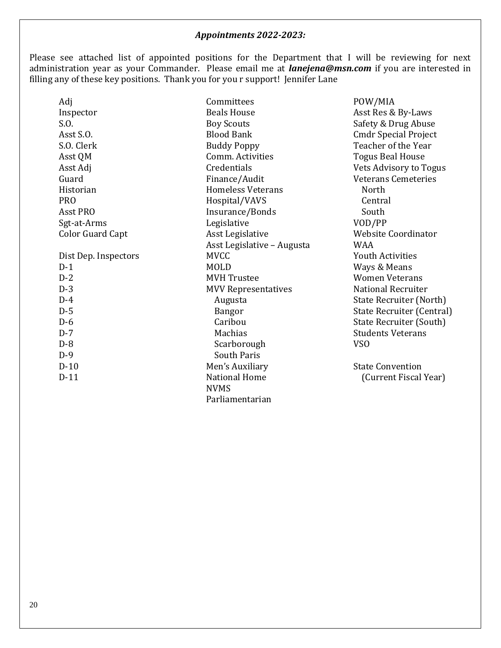# *Appointments 2022-2023:*

Please see attached list of appointed positions for the Department that I will be reviewing for next administration year as your Commander. Please email me at *[lanejena@msn.com](mailto:lanejena@msn.com)* if you are interested in filling any of these key positions. Thank you for you r support! Jennifer Lane

| Adj                     | Committees                 | POW/MIA                        |
|-------------------------|----------------------------|--------------------------------|
| Inspector               | <b>Beals House</b>         | Asst Res & By-Laws             |
| S.O.                    | <b>Boy Scouts</b>          | Safety & Drug Abuse            |
| Asst S.O.               | <b>Blood Bank</b>          | <b>Cmdr Special Project</b>    |
| S.O. Clerk              | <b>Buddy Poppy</b>         | Teacher of the Year            |
| Asst QM                 | Comm. Activities           | <b>Togus Beal House</b>        |
| Asst Adj                | Credentials                | Vets Advisory to Togus         |
| Guard                   | Finance/Audit              | <b>Veterans Cemeteries</b>     |
| Historian               | <b>Homeless Veterans</b>   | North                          |
| <b>PRO</b>              | Hospital/VAVS              | Central                        |
| Asst PRO                | Insurance/Bonds            | South                          |
| Sgt-at-Arms             | Legislative                | VOD/PP                         |
| <b>Color Guard Capt</b> | Asst Legislative           | <b>Website Coordinator</b>     |
|                         | Asst Legislative – Augusta | <b>WAA</b>                     |
| Dist Dep. Inspectors    | <b>MVCC</b>                | <b>Youth Activities</b>        |
| $D-1$                   | <b>MOLD</b>                | Ways & Means                   |
| $D-2$                   | <b>MVH</b> Trustee         | <b>Women Veterans</b>          |
| $D-3$                   | <b>MVV Representatives</b> | <b>National Recruiter</b>      |
| $D-4$                   | Augusta                    | <b>State Recruiter (North)</b> |
| $D-5$                   | <b>Bangor</b>              | State Recruiter (Central)      |
| $D-6$                   | Caribou                    | <b>State Recruiter (South)</b> |
| $D-7$                   | Machias                    | <b>Students Veterans</b>       |
| $D-8$                   | Scarborough                | VS <sub>0</sub>                |
| $D-9$                   | <b>South Paris</b>         |                                |
| $D-10$                  | Men's Auxiliary            | <b>State Convention</b>        |
| $D-11$                  | <b>National Home</b>       | (Current Fiscal Year)          |
|                         | <b>NVMS</b>                |                                |
|                         | Parliamentarian            |                                |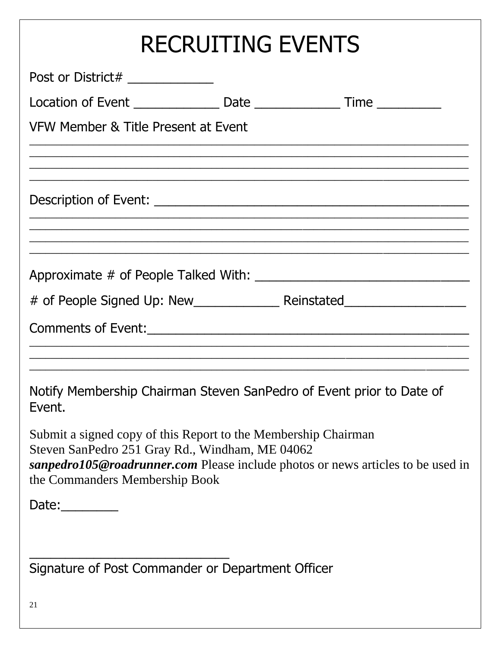| <b>RECRUITING EVENTS</b>                                                                                                                                                                                                               |
|----------------------------------------------------------------------------------------------------------------------------------------------------------------------------------------------------------------------------------------|
| Post or District# _____________                                                                                                                                                                                                        |
| Location of Event ___________________ Date __________________ Time _____________                                                                                                                                                       |
| VFW Member & Title Present at Event                                                                                                                                                                                                    |
|                                                                                                                                                                                                                                        |
|                                                                                                                                                                                                                                        |
| <u> 1990 - Jan James James James James James James James James James James James James James James James James J</u>                                                                                                                   |
|                                                                                                                                                                                                                                        |
|                                                                                                                                                                                                                                        |
|                                                                                                                                                                                                                                        |
| Notify Membership Chairman Steven SanPedro of Event prior to Date of<br>Event.                                                                                                                                                         |
| Submit a signed copy of this Report to the Membership Chairman<br>Steven SanPedro 251 Gray Rd., Windham, ME 04062<br>sanpedro105@roadrunner.com Please include photos or news articles to be used in<br>the Commanders Membership Book |
| Date:________                                                                                                                                                                                                                          |
|                                                                                                                                                                                                                                        |
| Signature of Post Commander or Department Officer                                                                                                                                                                                      |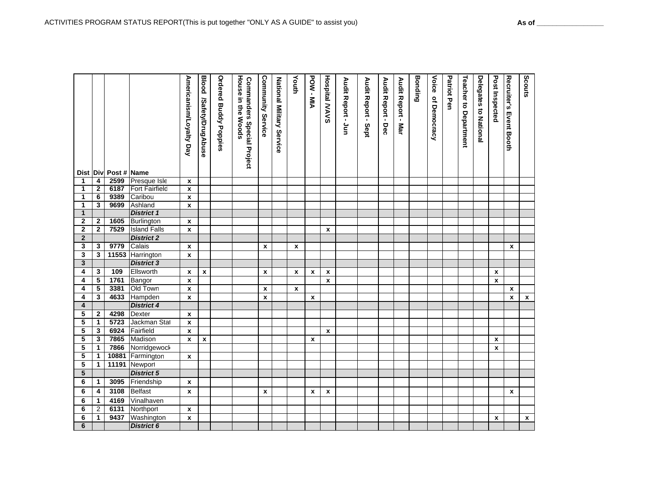**6**

|                   |                     |                      |                       | Americanism/Loyalty Day            | <b>Blood</b><br>/Safety/DrugAbuse | <b>Ordered Buddy Poppies</b> | House in the Woods<br><b>Commanders Special Project</b> | Community<br>Service | National Military Service | Youth              | <b>POW-MIA</b>            | <b>Hospital MAVS</b> | Audit Report - Jun | Audit Report - Sept | Audit Report - Dec | Audit Report -<br><b>Mar</b> | <b>Bonding</b> | Voice of Democracy | <b>Patriot Pen</b> | Teacher to Department | <b>Delegates to National</b> | Post Inspected     | <b>Recruiter's Event Booth</b> | Scouts             |
|-------------------|---------------------|----------------------|-----------------------|------------------------------------|-----------------------------------|------------------------------|---------------------------------------------------------|----------------------|---------------------------|--------------------|---------------------------|----------------------|--------------------|---------------------|--------------------|------------------------------|----------------|--------------------|--------------------|-----------------------|------------------------------|--------------------|--------------------------------|--------------------|
|                   |                     | Dist Div Post # Name |                       |                                    |                                   |                              |                                                         |                      |                           |                    |                           |                      |                    |                     |                    |                              |                |                    |                    |                       |                              |                    |                                |                    |
| $\mathbf{1}$      | 4                   | 2599<br>6187         | Presque Isle          | $\pmb{\chi}$                       |                                   |                              |                                                         |                      |                           |                    |                           |                      |                    |                     |                    |                              |                |                    |                    |                       |                              |                    |                                |                    |
| 1                 | $\mathbf{2}$        | 9389                 | <b>Fort Fairfield</b> | $\pmb{\chi}$                       |                                   |                              |                                                         |                      |                           |                    |                           |                      |                    |                     |                    |                              |                |                    |                    |                       |                              |                    |                                |                    |
| 1<br>$\mathbf{1}$ | $\overline{6}$<br>3 | 9699                 | Caribou<br>Ashland    | $\pmb{\mathsf{x}}$<br>$\mathbf{x}$ |                                   |                              |                                                         |                      |                           |                    |                           |                      |                    |                     |                    |                              |                |                    |                    |                       |                              |                    |                                |                    |
| $\mathbf{1}$      |                     |                      | <b>District 1</b>     |                                    |                                   |                              |                                                         |                      |                           |                    |                           |                      |                    |                     |                    |                              |                |                    |                    |                       |                              |                    |                                |                    |
| $\mathbf{2}$      | $\mathbf{2}$        | 1605                 | Burlington            | $\pmb{\chi}$                       |                                   |                              |                                                         |                      |                           |                    |                           |                      |                    |                     |                    |                              |                |                    |                    |                       |                              |                    |                                |                    |
| $\mathbf{2}$      | $\overline{2}$      | 7529                 | <b>Island Falls</b>   | $\mathbf{x}$                       |                                   |                              |                                                         |                      |                           |                    |                           | $\mathbf{x}$         |                    |                     |                    |                              |                |                    |                    |                       |                              |                    |                                |                    |
| $\overline{2}$    |                     |                      | <b>District 2</b>     |                                    |                                   |                              |                                                         |                      |                           |                    |                           |                      |                    |                     |                    |                              |                |                    |                    |                       |                              |                    |                                |                    |
| 3                 | 3                   | 9779                 | Calais                | $\mathbf{x}$                       |                                   |                              |                                                         | $\mathbf{x}$         |                           | $\mathbf{x}$       |                           |                      |                    |                     |                    |                              |                |                    |                    |                       |                              |                    | $\mathbf{x}$                   |                    |
| 3                 | $\mathbf{3}$        |                      | 11553 Harrington      | $\pmb{\chi}$                       |                                   |                              |                                                         |                      |                           |                    |                           |                      |                    |                     |                    |                              |                |                    |                    |                       |                              |                    |                                |                    |
| 3                 |                     |                      | <b>District 3</b>     |                                    |                                   |                              |                                                         |                      |                           |                    |                           |                      |                    |                     |                    |                              |                |                    |                    |                       |                              |                    |                                |                    |
| 4                 | 3                   | 109                  | Ellsworth             | $\pmb{\chi}$                       | $\pmb{\chi}$                      |                              |                                                         | x                    |                           | $\pmb{\mathsf{x}}$ | $\boldsymbol{x}$          | x                    |                    |                     |                    |                              |                |                    |                    |                       |                              | $\pmb{\chi}$       |                                |                    |
| 4                 | 5                   | 1761                 | Bangor                | $\pmb{\chi}$                       |                                   |                              |                                                         |                      |                           |                    |                           | $\pmb{\chi}$         |                    |                     |                    |                              |                |                    |                    |                       |                              | $\pmb{\mathsf{x}}$ |                                |                    |
| 4                 | 5                   | 3381                 | Old Town              | $\pmb{\chi}$                       |                                   |                              |                                                         | x                    |                           | $\pmb{\mathsf{x}}$ |                           |                      |                    |                     |                    |                              |                |                    |                    |                       |                              |                    | x                              |                    |
| 4                 | 3                   | 4633                 | Hampden               | $\pmb{\chi}$                       |                                   |                              |                                                         | $\mathbf{x}$         |                           |                    | $\boldsymbol{\mathsf{x}}$ |                      |                    |                     |                    |                              |                |                    |                    |                       |                              |                    | X                              | $\boldsymbol{x}$   |
| 4                 |                     |                      | <b>District 4</b>     |                                    |                                   |                              |                                                         |                      |                           |                    |                           |                      |                    |                     |                    |                              |                |                    |                    |                       |                              |                    |                                |                    |
| 5                 | $\mathbf{2}$        | 4298                 | <b>Dexter</b>         | $\pmb{\chi}$                       |                                   |                              |                                                         |                      |                           |                    |                           |                      |                    |                     |                    |                              |                |                    |                    |                       |                              |                    |                                |                    |
| 5                 | $\mathbf 1$         | 5723                 | Jackman Stat          | $\pmb{\mathsf{x}}$                 |                                   |                              |                                                         |                      |                           |                    |                           |                      |                    |                     |                    |                              |                |                    |                    |                       |                              |                    |                                |                    |
| 5                 | $\mathbf{3}$        | 6924                 | Fairfield             | $\pmb{\chi}$                       |                                   |                              |                                                         |                      |                           |                    |                           | $\mathbf{x}$         |                    |                     |                    |                              |                |                    |                    |                       |                              |                    |                                |                    |
| 5                 | 3                   | 7865                 | Madison               | $\pmb{\mathsf{x}}$                 | $\pmb{\mathsf{x}}$                |                              |                                                         |                      |                           |                    | $\boldsymbol{\mathsf{x}}$ |                      |                    |                     |                    |                              |                |                    |                    |                       |                              | x                  |                                |                    |
| 5                 | $\mathbf{1}$        | 7866                 | Norridgewock          |                                    |                                   |                              |                                                         |                      |                           |                    |                           |                      |                    |                     |                    |                              |                |                    |                    |                       |                              | x                  |                                |                    |
| 5                 | $\mathbf 1$         | 10881                | Farmington            | $\pmb{\chi}$                       |                                   |                              |                                                         |                      |                           |                    |                           |                      |                    |                     |                    |                              |                |                    |                    |                       |                              |                    |                                |                    |
| 5                 | $\mathbf{1}$        |                      | 11191 Newport         |                                    |                                   |                              |                                                         |                      |                           |                    |                           |                      |                    |                     |                    |                              |                |                    |                    |                       |                              |                    |                                |                    |
| 5                 |                     |                      | <b>District 5</b>     |                                    |                                   |                              |                                                         |                      |                           |                    |                           |                      |                    |                     |                    |                              |                |                    |                    |                       |                              |                    |                                |                    |
| 6                 | 1                   | 3095                 | Friendship            | $\mathbf{x}$                       |                                   |                              |                                                         |                      |                           |                    |                           |                      |                    |                     |                    |                              |                |                    |                    |                       |                              |                    |                                |                    |
| 6                 | 4                   | 3108                 | <b>Belfast</b>        | $\pmb{\chi}$                       |                                   |                              |                                                         | $\pmb{\mathsf{x}}$   |                           |                    | $\pmb{\chi}$              | $\pmb{\mathsf{x}}$   |                    |                     |                    |                              |                |                    |                    |                       |                              |                    | $\pmb{\mathsf{x}}$             |                    |
| 6                 | 1                   | 4169                 | Vinalhaven            |                                    |                                   |                              |                                                         |                      |                           |                    |                           |                      |                    |                     |                    |                              |                |                    |                    |                       |                              |                    |                                |                    |
| 6                 | $\overline{2}$      | 6131                 | Northport             | $\pmb{\chi}$                       |                                   |                              |                                                         |                      |                           |                    |                           |                      |                    |                     |                    |                              |                |                    |                    |                       |                              |                    |                                |                    |
| 6                 | 1                   | 9437                 | Washington            | $\boldsymbol{\mathsf{x}}$          |                                   |                              |                                                         |                      |                           |                    |                           |                      |                    |                     |                    |                              |                |                    |                    |                       |                              | x                  |                                | $\pmb{\mathsf{x}}$ |
| $6\phantom{1}6$   |                     |                      | <b>District 6</b>     |                                    |                                   |                              |                                                         |                      |                           |                    |                           |                      |                    |                     |                    |                              |                |                    |                    |                       |                              |                    |                                |                    |